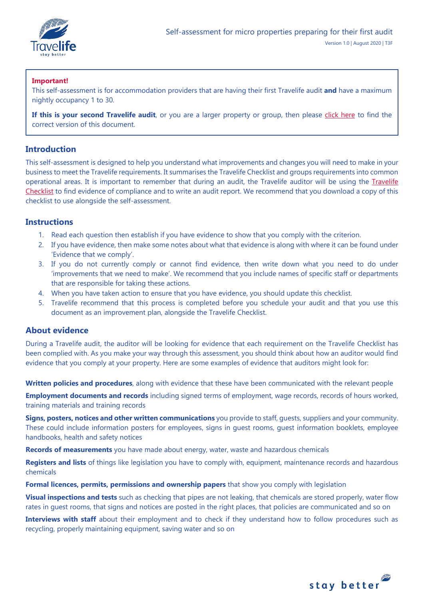

# **Important!**

This self-assessment is for accommodation providers that are having their first Travelife audit **and** have a maximum nightly occupancy 1 to 30.

If this is your second Travelife audit, or you are a larger property or group, then please [click here](https://travelifestaybetter.com/your-audit/) to find the correct version of this document.

# **Introduction**

This self-assessment is designed to help you understand what improvements and changes you will need to make in your business to meet the Travelife requirements. It summarises the Travelife Checklist and groups requirements into common operational areas. It is important to remember that during an audit, the Travelife auditor will be using the [Travelife](https://travelifestaybetter.com/travelife-standard-checklists/)  [Checklist](https://travelifestaybetter.com/travelife-standard-checklists/) to find evidence of compliance and to write an audit report. We recommend that you download a copy of this checklist to use alongside the self-assessment.

# **Instructions**

- 1. Read each question then establish if you have evidence to show that you comply with the criterion.
- 2. If you have evidence, then make some notes about what that evidence is along with where it can be found under 'Evidence that we comply'.
- 3. If you do not currently comply or cannot find evidence, then write down what you need to do under 'improvements that we need to make'. We recommend that you include names of specific staff or departments that are responsible for taking these actions.
- 4. When you have taken action to ensure that you have evidence, you should update this checklist.
- 5. Travelife recommend that this process is completed before you schedule your audit and that you use this document as an improvement plan, alongside the Travelife Checklist.

# **About evidence**

During a Travelife audit, the auditor will be looking for evidence that each requirement on the Travelife Checklist has been complied with. As you make your way through this assessment, you should think about how an auditor would find evidence that you comply at your property. Here are some examples of evidence that auditors might look for:

**Written policies and procedures**, along with evidence that these have been communicated with the relevant people

**Employment documents and records** including signed terms of employment, wage records, records of hours worked, training materials and training records

**Signs, posters, notices and other written communications** you provide to staff, guests, suppliers and your community. These could include information posters for employees, signs in guest rooms, guest information booklets, employee handbooks, health and safety notices

**Records of measurements** you have made about energy, water, waste and hazardous chemicals

**Registers and lists** of things like legislation you have to comply with, equipment, maintenance records and hazardous chemicals

**Formal licences, permits, permissions and ownership papers** that show you comply with legislation

**Visual inspections and tests** such as checking that pipes are not leaking, that chemicals are stored properly, water flow rates in guest rooms, that signs and notices are posted in the right places, that policies are communicated and so on

**Interviews with staff** about their employment and to check if they understand how to follow procedures such as recycling, properly maintaining equipment, saving water and so on

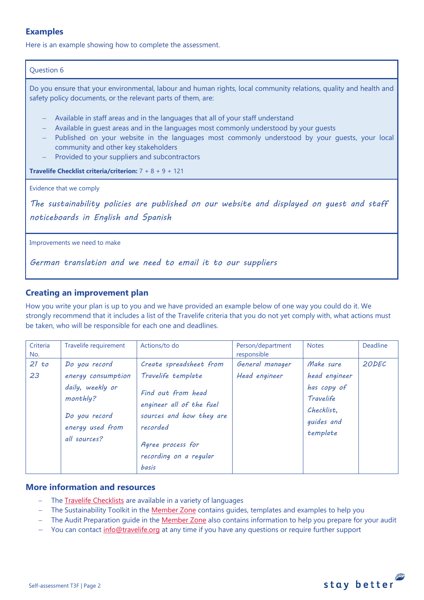# **Examples**

Here is an example showing how to complete the assessment.

## Question 6

Do you ensure that your environmental, labour and human rights, local community relations, quality and health and safety policy documents, or the relevant parts of them, are:

- − Available in staff areas and in the languages that all of your staff understand
- − Available in guest areas and in the languages most commonly understood by your guests
- − Published on your website in the languages most commonly understood by your guests, your local community and other key stakeholders
- Provided to your suppliers and subcontractors

**Travelife Checklist criteria/criterion:** 7 + 8 + 9 + 121

Evidence that we comply

*The sustainability policies are published on our website and displayed on guest and staff noticeboards in English and Spanish* 

Improvements we need to make

*German translation and we need to email it to our suppliers*

# **Creating an improvement plan**

How you write your plan is up to you and we have provided an example below of one way you could do it. We strongly recommend that it includes a list of the Travelife criteria that you do not yet comply with, what actions must be taken, who will be responsible for each one and deadlines.

| Criteria<br>No. | Travelife requirement                                                                                                    | Actions/to do                                                                                                                                                                          | Person/department<br>responsible | <b>Notes</b>                                                                                   | Deadline |
|-----------------|--------------------------------------------------------------------------------------------------------------------------|----------------------------------------------------------------------------------------------------------------------------------------------------------------------------------------|----------------------------------|------------------------------------------------------------------------------------------------|----------|
| 21 to<br>23     | Do you record<br>energy consumption<br>daily, weekly or<br>monthly?<br>Do you record<br>energy used from<br>all sources? | Create spreadsheet from<br>Travelife template<br>Find out from head<br>engineer all of the fuel<br>sources and how they are<br>recorded<br>Agree process for<br>recording on a regular | General manager<br>Head engineer | Make sure<br>head engineer<br>has copy of<br>Travelife<br>Checklist.<br>guides and<br>template | 20DEC    |
|                 |                                                                                                                          | basis                                                                                                                                                                                  |                                  |                                                                                                |          |

# **More information and resources**

- − The [Travelife Checklists](https://travelifestaybetter.com/travelife-standard-checklists/) are available in a variety of languages
- − The Sustainability Toolkit in the [Member Zone](https://travelifestaybetter.com/accommodation-member-zone/) contains guides, templates and examples to help you
- − The Audit Preparation guide in the [Member Zone](https://travelifestaybetter.com/accommodation-member-zone/) also contains information to help you prepare for your audit
- You can contact [info@travelife.org](mailto:info@travelife.org) at any time if you have any questions or require further support

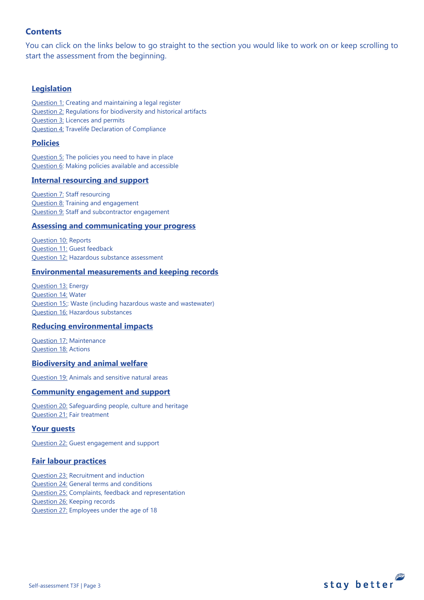# **Contents**

You can click on the links below to go straight to the section you would like to work on or keep scrolling to start the assessment from the beginning.

# **[Legislation](#page-3-0)**

[Question 1:](#page-3-1) Creating and maintaining a legal register [Question 2:](#page-3-2) Regulations for biodiversity and historical artifacts [Question 3:](#page-4-0) Licences and permits [Question 4:](#page-4-1) Travelife Declaration of Compliance

## **[Policies](#page-5-0)**

[Question 5:](#page-5-1) The policies you need to have in place [Question 6:](#page-8-0) Making policies available and accessible

## **[Internal resourcing and support](#page-8-1)**

[Question 7:](#page-9-0) Staff resourcing [Question 8:](#page-9-1) Training and engagement [Question 9:](#page-10-0) Staff and subcontractor engagement

### **[Assessing and communicating your progress](#page-10-0)**

[Question 10:](#page-10-1) Reports [Question 11:](#page-11-0) Guest feedback [Question 12:](#page-11-1) Hazardous substance assessment

## **[Environmental measurements and keeping records](#page-12-0)**

[Question 13:](#page-12-1) Energy [Question 14:](#page-13-0) Water [Question 15::](#page-14-0) Waste (including hazardous waste and wastewater) [Question 16:](#page-15-0) Hazardous substances

## **[Reducing environmental impacts](#page-18-0)**

[Question 17:](#page-18-1) Maintenance [Question 18:](#page-18-2) Actions

### **[Biodiversity and animal welfare](#page-21-0)**

[Question 19:](#page-21-1) Animals and sensitive natural areas

## **[Community engagement](#page-22-0) and support**

[Question 20:](#page-22-1) Safeguarding people, culture and heritage [Question 21:](#page-23-0) Fair treatment

## **[Your guests](#page-23-1)**

[Question 22:](#page-23-2) Guest engagement and support

## **[Fair labour practices](#page-25-0)**

[Question 23:](#page-25-1) Recruitment and induction [Question 24:](#page-26-0) General terms and conditions [Question 25:](#page-27-0) Complaints, feedback and representation [Question 26:](#page-28-0) Keeping records [Question 27:](#page-28-1) Employees under the age of 18

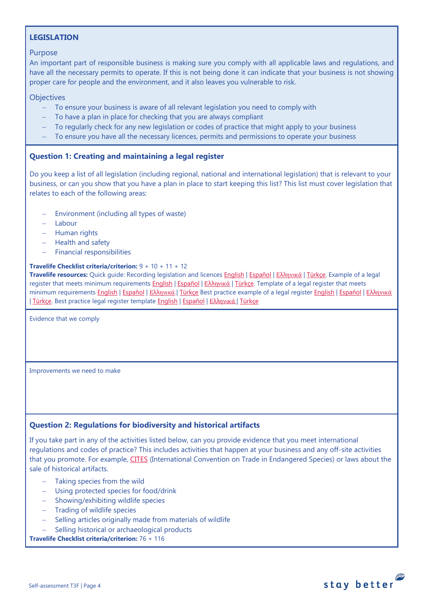# <span id="page-3-0"></span>**LEGISLATION**

## Purpose

An important part of responsible business is making sure you comply with all applicable laws and regulations, and have all the necessary permits to operate. If this is not being done it can indicate that your business is not showing proper care for people and the environment, and it also leaves you vulnerable to risk.

## **Objectives**

- To ensure your business is aware of all relevant legislation you need to comply with
- To have a plan in place for checking that you are always compliant
- − To regularly check for any new legislation or codes of practice that might apply to your business
- − To ensure you have all the necessary licences, permits and permissions to operate your business

# <span id="page-3-1"></span>**Question 1: Creating and maintaining a legal register**

Do you keep a list of all legislation (including regional, national and international legislation) that is relevant to your business, or can you show that you have a plan in place to start keeping this list? This list must cover legislation that relates to each of the following areas:

- Environment (including all types of waste)
- − Labour
- − Human rights
- − Health and safety
- − Financial responsibilities

### **Travelife Checklist criteria/criterion:** 9 + 10 + 11 + 12

**Travelife resources:** Quick guide: Recording legislation and licences [English](https://travelifestaybetter.com/wp-content/uploads/2019/02/1-Quick-Guide-Recording-Legislation-and-Licenses.pdf) | [Español](https://travelifestaybetter.com/wp-content/uploads/2019/02/1-ES-Quick-Guide-Recording-Legislation-and-Licenses.pdf) | Ελλ[ηνικά](https://travelifestaybetter.com/wp-content/uploads/2020/02/21-Quick-Guide-Recording-Legislation-and-Licenses-GR.pdf) | [Türkçe.](https://travelifestaybetter.com/wp-content/uploads/2020/12/1-Quick-Guide-Recording-Legislation-and-Licenses-TR-Hizli-Kilavuz-Mevzuat-ve-Lisanslarin-Kayit-Edilmesi.pdf) Example of a legal register that meets minimum requirements [English](https://travelifestaybetter.com/wp-content/uploads/2019/02/1-Example-Legal-Register-Minimum-Requirements.docx.pdf) | [Español](https://travelifestaybetter.com/wp-content/uploads/2019/02/1-ES-Example-Legal-Register.pdf) | Ελλ[ηνικά](https://travelifestaybetter.com/wp-content/uploads/2020/02/23-Example-Legal-Register-GR.pdf) | [Türkçe.](https://travelifestaybetter.com/wp-content/uploads/2020/12/1-Example-Legal-Register-TR-Ornek-Yasal-Kayit.pdf) Template of a legal register that meets minimum requirements [English](https://travelifestaybetter.com/wp-content/uploads/2020/12/1-Example-Legal-Register-Excellence-V1.1.pdf) | [Español](https://travelifestaybetter.com/wp-content/uploads/2020/12/1-ES-Example-Legal-Register-Excellence-V1.1.pdf) | Ελλ[ηνικά](https://travelifestaybetter.com/wp-content/uploads/2020/12/1-Example-Legal-Register-Excellence-V1.1-GR.pdf). | [Türkçe](https://travelifestaybetter.com/wp-content/uploads/2020/12/1-Template-Legal-Register-Minimum-Requirements-TR-Sablon-Yasal-Kayit-Minimum-Gereksinimler.docx) Best practice example of a legal register English | Español | Ελληνικά | [Türkçe.](https://travelifestaybetter.com/wp-content/uploads/2020/12/1-Example-Legal-Register-Excellence-TR-Ornek-Yasal-Kayit-En-iyi-Uygulama.pdf) Best practice legal register template [English](https://travelifestaybetter.com/wp-content/uploads/2019/02/1-Template-Legal-Register-Best-Practice.docx) | [Español](https://travelifestaybetter.com/wp-content/uploads/2019/02/1-ES-Template-Legal-Register-Best-Practice.docx) | Ελλ[ηνικά](https://travelifestaybetter.com/wp-content/uploads/2020/02/24-Template-Legal-Register-Best-Practice-GR.docx) | [Türkçe](https://travelifestaybetter.com/wp-content/uploads/2020/12/1-Template-Legal-Register-Best-Practice-TR-Sablon-Yasal-Kayit-En-Iyi-Uygulama.docx)

Evidence that we comply

Improvements we need to make

# <span id="page-3-2"></span>**Question 2: Regulations for biodiversity and historical artifacts**

If you take part in any of the activities listed below, can you provide evidence that you meet international regulations and codes of practice? This includes activities that happen at your business and any off-site activities that you promote. For example, [CITES](https://cites.org/) (International Convention on Trade in Endangered Species) or laws about the sale of historical artifacts.

- Taking species from the wild
- − Using protected species for food/drink
- − Showing/exhibiting wildlife species
- − Trading of wildlife species
- − Selling articles originally made from materials of wildlife
- Selling historical or archaeological products

**Travelife Checklist criteria/criterion:** 76 + 116



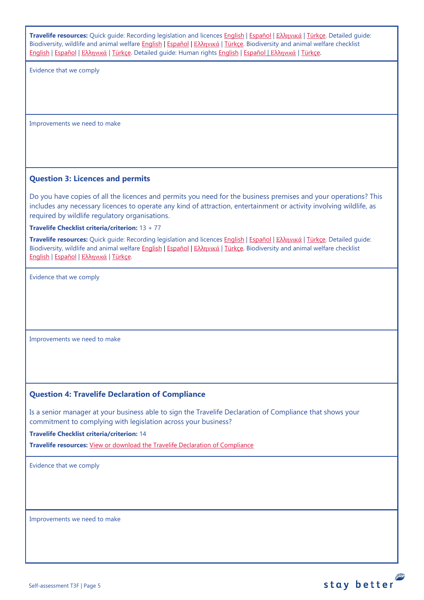<span id="page-4-1"></span><span id="page-4-0"></span>

| Travelife resources: Quick guide: Recording legislation and licences English   Español   Eλληνικά   Türkce. Detailed guide:<br>Biodiversity, wildlife and animal welfare English   Español   Ελληνικά   Türkce. Biodiversity and animal welfare checklist<br>English   Español   Ελληνικά   Türkçe. Detailed guide: Human rights English   Español   Ελληνικά   Türkçe. |  |  |  |
|-------------------------------------------------------------------------------------------------------------------------------------------------------------------------------------------------------------------------------------------------------------------------------------------------------------------------------------------------------------------------|--|--|--|
| Evidence that we comply                                                                                                                                                                                                                                                                                                                                                 |  |  |  |
|                                                                                                                                                                                                                                                                                                                                                                         |  |  |  |
|                                                                                                                                                                                                                                                                                                                                                                         |  |  |  |
|                                                                                                                                                                                                                                                                                                                                                                         |  |  |  |
|                                                                                                                                                                                                                                                                                                                                                                         |  |  |  |
| Improvements we need to make                                                                                                                                                                                                                                                                                                                                            |  |  |  |
|                                                                                                                                                                                                                                                                                                                                                                         |  |  |  |
|                                                                                                                                                                                                                                                                                                                                                                         |  |  |  |
|                                                                                                                                                                                                                                                                                                                                                                         |  |  |  |
| <b>Question 3: Licences and permits</b>                                                                                                                                                                                                                                                                                                                                 |  |  |  |
| Do you have copies of all the licences and permits you need for the business premises and your operations? This<br>includes any necessary licences to operate any kind of attraction, entertainment or activity involving wildlife, as<br>required by wildlife regulatory organisations.                                                                                |  |  |  |
|                                                                                                                                                                                                                                                                                                                                                                         |  |  |  |
| Travelife Checklist criteria/criterion: 13 + 77<br>Travelife resources: Quick guide: Recording legislation and licences English   Español   Eλληνικά   Türkce. Detailed guide:                                                                                                                                                                                          |  |  |  |
| Biodiversity, wildlife and animal welfare English   Español   Ελληνικά   Türkce. Biodiversity and animal welfare checklist<br>English   Español   Ελληνικά   Türkçe.                                                                                                                                                                                                    |  |  |  |
| Evidence that we comply                                                                                                                                                                                                                                                                                                                                                 |  |  |  |
|                                                                                                                                                                                                                                                                                                                                                                         |  |  |  |
|                                                                                                                                                                                                                                                                                                                                                                         |  |  |  |
|                                                                                                                                                                                                                                                                                                                                                                         |  |  |  |
|                                                                                                                                                                                                                                                                                                                                                                         |  |  |  |
| Improvements we need to make                                                                                                                                                                                                                                                                                                                                            |  |  |  |
|                                                                                                                                                                                                                                                                                                                                                                         |  |  |  |
|                                                                                                                                                                                                                                                                                                                                                                         |  |  |  |
|                                                                                                                                                                                                                                                                                                                                                                         |  |  |  |
|                                                                                                                                                                                                                                                                                                                                                                         |  |  |  |
| <b>Question 4: Travelife Declaration of Compliance</b>                                                                                                                                                                                                                                                                                                                  |  |  |  |
| Is a senior manager at your business able to sign the Travelife Declaration of Compliance that shows your                                                                                                                                                                                                                                                               |  |  |  |
| commitment to complying with legislation across your business?                                                                                                                                                                                                                                                                                                          |  |  |  |
| <b>Travelife Checklist criteria/criterion: 14</b>                                                                                                                                                                                                                                                                                                                       |  |  |  |
| Travelife resources: View or download the Travelife Declaration of Compliance                                                                                                                                                                                                                                                                                           |  |  |  |
| Evidence that we comply                                                                                                                                                                                                                                                                                                                                                 |  |  |  |
|                                                                                                                                                                                                                                                                                                                                                                         |  |  |  |
|                                                                                                                                                                                                                                                                                                                                                                         |  |  |  |
|                                                                                                                                                                                                                                                                                                                                                                         |  |  |  |
|                                                                                                                                                                                                                                                                                                                                                                         |  |  |  |
| Improvements we need to make                                                                                                                                                                                                                                                                                                                                            |  |  |  |
|                                                                                                                                                                                                                                                                                                                                                                         |  |  |  |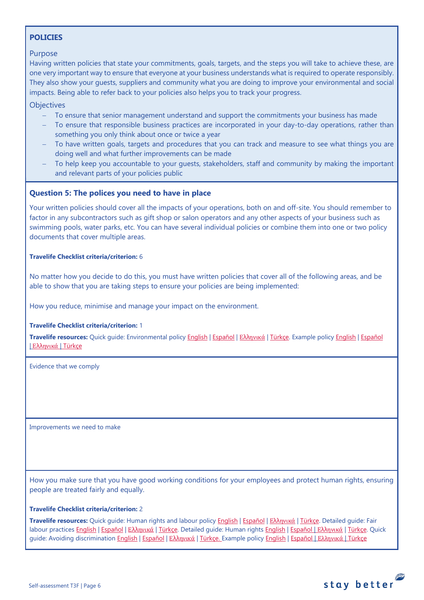# <span id="page-5-0"></span>**POLICIES**

## Purpose

Having written policies that state your commitments, goals, targets, and the steps you will take to achieve these, are one very important way to ensure that everyone at your business understands what is required to operate responsibly. They also show your guests, suppliers and community what you are doing to improve your environmental and social impacts. Being able to refer back to your policies also helps you to track your progress.

**Objectives** 

- − To ensure that senior management understand and support the commitments your business has made
- To ensure that responsible business practices are incorporated in your day-to-day operations, rather than something you only think about once or twice a year
- To have written goals, targets and procedures that you can track and measure to see what things you are doing well and what further improvements can be made
- To help keep you accountable to your guests, stakeholders, staff and community by making the important and relevant parts of your policies public

## <span id="page-5-1"></span>**Question 5: The polices you need to have in place**

Your written policies should cover all the impacts of your operations, both on and off-site. You should remember to factor in any subcontractors such as gift shop or salon operators and any other aspects of your business such as swimming pools, water parks, etc. You can have several individual policies or combine them into one or two policy documents that cover multiple areas.

### **Travelife Checklist criteria/criterion:** 6

No matter how you decide to do this, you must have written policies that cover all of the following areas, and be able to show that you are taking steps to ensure your policies are being implemented:

How you reduce, minimise and manage your impact on the environment.

### **Travelife Checklist criteria/criterion:** 1

**Travelife resources:** Quick guide: Environmental policy [English](https://travelifestaybetter.com/wp-content/uploads/2019/02/3-Quick-Guide-Environmental-Policy.pdf) | [Español](https://travelifestaybetter.com/wp-content/uploads/2019/02/3-ES-Quick-Guide-Environmental-Policy.pdf) | Ελλ[ηνικά](https://travelifestaybetter.com/wp-content/uploads/2020/02/30-Quick-Guide-Environmental-Policy-GR.pdf) | [Türkçe.](https://travelifestaybetter.com/wp-content/uploads/2020/12/3-Quick-Guide-Environmental-Policy-TR-Hizli-Kilavuz-Cevre-Politikasi.pdf) Example polic[y English](https://travelifestaybetter.com/wp-content/uploads/2019/02/3-Example-Environmental-Policy.pdf) | [Español](https://travelifestaybetter.com/wp-content/uploads/2019/02/3-ES-Example-Environmental-Policy.pdf) | Ελλ[ηνικά](https://travelifestaybetter.com/wp-content/uploads/2020/07/31-Example-Environmental-Policy-GR.pdf) | [Türkçe](https://travelifestaybetter.com/wp-content/uploads/2020/12/3-Example-Environmental-Policy-TR-Ornek-Cevre-Politikasi.pdf)

Evidence that we comply

Improvements we need to make

How you make sure that you have good working conditions for your employees and protect human rights, ensuring people are treated fairly and equally.

### **Travelife Checklist criteria/criterion:** 2

**Travelife resources:** Quick guide: Human rights and labour policy [English](https://travelifestaybetter.com/wp-content/uploads/2019/02/8-Quick-Guide-Labour-and-Human-Rights-Policy.pdf) | [Español](https://travelifestaybetter.com/wp-content/uploads/2019/02/8-ES-Quick-Guide-Labour-and-Human-Rights-Policy.pdf) | Ελλ[ηνικά](https://travelifestaybetter.com/wp-content/uploads/2020/07/35-Quick-Guide-Labour-and-Human-Rights-Policy-GR.pdf) | [Türkçe.](https://travelifestaybetter.com/wp-content/uploads/2020/08/8-Quick-Guide-Labour-and-Human-Rights-Policy-TR-8-Hizli-Kilavuz-Isci-ve-Insan-Haklari-Politikasi.pdf) Detailed guide: Fair labour practices [English](https://travelifestaybetter.com/wp-content/uploads/2021/01/8-Detailed-Guide-Human-Rights.pdf) | [Español](https://travelifestaybetter.com/wp-content/uploads/2021/01/8-ES-Detailed-Guide-Human-Rights.pdf) | Ελλ[ηνικά](https://travelifestaybetter.com/wp-content/uploads/2021/01/8-GR-Detailed-Guide-Human-Rights.pdf) | [Türkçe.](https://travelifestaybetter.com/wp-content/uploads/2021/01/10-Detailed-Guide-Fair-Labour-Practices-TR-Adil-Is-Gucu-Uygulamalari-Detayli-Kilavuz.pdf) Detailed quide: Human rights English | Εspañol | Ελληνικά | [Türkçe.](https://travelifestaybetter.com/wp-content/uploads/2021/01/8-Detailed-Guide-Human-Rights-TR-Insan-Haklari-Detayli-Kilavuz.pdf) Quick guide: Avoiding discriminatio[n English](https://travelifestaybetter.com/wp-content/uploads/2019/02/13-Quick-Guide-Avoiding-Workplace-Discrimination.pdf) | Εspañol | Ελληνικά | Türkçe. Example policy English | [Español](https://travelifestaybetter.com/wp-content/uploads/2021/06/8-ES-Example-Labour-Human-Rights-Policy.pdf) | Ελλ[ηνικά](https://travelifestaybetter.com/wp-content/uploads/2020/07/38-Quick-Guide-Avoiding-Workplace-Discrimination-GR.pdf) | [Türkçe](https://travelifestaybetter.com/wp-content/uploads/2021/06/10-Example-Labour-and-Human-Rights-Policy-TR-Ornek-Calisan-ve-Insan-Haklari-Politikasi.pdf)

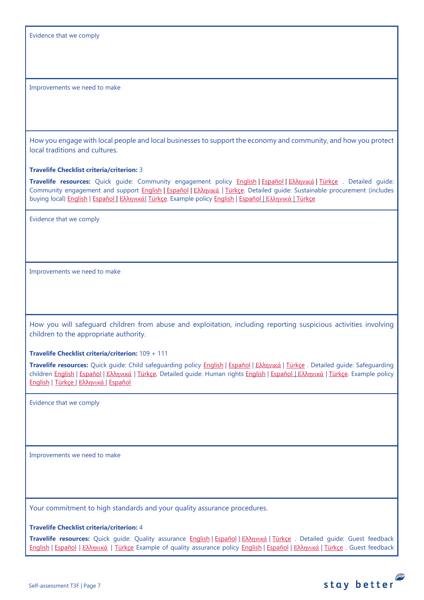Evidence that we comply

Improvements we need to make

How you engage with local people and local businesses to support the economy and community, and how you protect local traditions and cultures.

**Travelife Checklist criteria/criterion:** 3

**Travelife resources:** Quick guide: Community engagement policy [English](https://travelifestaybetter.com/wp-content/uploads/2019/02/7-Quick-Guide-Community-Engagement.pdf) | [Español](https://travelifestaybetter.com/wp-content/uploads/2019/02/7-ES-Quick-Guide-Community-Engagement.pdf) | Ελλ[ηνικά](https://travelifestaybetter.com/wp-content/uploads/2020/07/34-Quick-Guide-Community-Engagement-GR.pdf) | [Türkçe](https://travelifestaybetter.com/wp-content/uploads/2020/08/7-Quick-Guide-Community-Engagement-TR-7-Hizli-Kilavuz-Toplum-Uyum-Politikasi.pdf) . Detailed guide: Community engagement and support [English](https://travelifestaybetter.com/wp-content/uploads/2019/02/7-Detailed-Guide-Community-Engagement.pdf) | [Español](https://travelifestaybetter.com/wp-content/uploads/2019/02/7-ES-Detailed-Guide-Community-Engagement.pdf) | Ελλ[ηνικά](https://travelifestaybetter.com/wp-content/uploads/2020/11/7-GR-Detailed-Guide-Community-Engagement.pdf) | [Türkçe.](https://travelifestaybetter.com/wp-content/uploads/2021/01/7-Detailed-Guide-Community-Engagement-TR-Toplum-Katilimi-ve-Destegi-Detayli-Kilavuz.pdf) Detailed guide: Sustainable procurement (includes buying local[\) English](https://travelifestaybetter.com/wp-content/uploads/2019/02/22-Detailed-Guide-Sustainable-Procurement.pdf) | [Español](https://travelifestaybetter.com/wp-content/uploads/2019/03/22-ES-Detailed-Guide-Sustainable-Procurement.pdf) | Ελλ[ηνικά](https://travelifestaybetter.com/wp-content/uploads/2021/01/22-GR-Detailed-Guide-Sustainable-Procurement.pdf)| [Türkçe.](https://travelifestaybetter.com/wp-content/uploads/2021/01/22-Detailed-Guide-Sustainable-Procurement-TR-Surdurulebilir-Tedarik-Detayli-Kilavuz.pdf) Example polic[y English](https://travelifestaybetter.com/wp-content/uploads/2021/06/7-Example-Community-engagement-Policy.pdf) | [Español](https://travelifestaybetter.com/wp-content/uploads/2021/06/7-ES-Example-Community-Engagement-Policy.pdf) | [Ελληνικά](https://travelifestaybetter.com/wp-content/uploads/2021/08/7-Example-Community-engagement-policy-GR.pdf) | [Türkçe](https://travelifestaybetter.com/wp-content/uploads/2021/06/7-Example-Community-engagement-Policy-TR-Ornek-Toplum-Uyum-Politikasi.pdf)

Evidence that we comply

Improvements we need to make

How you will safeguard children from abuse and exploitation, including reporting suspicious activities involving children to the appropriate authority.

**Travelife Checklist criteria/criterion:** 109 + 111

**Travelife resources:** Quick guide: Child safeguarding policy [English](https://travelifestaybetter.com/wp-content/uploads/2020/06/14-Quick-Guide-Child-Safeguarding.pdf) | [Español](https://travelifestaybetter.com/wp-content/uploads/2019/02/14-ES-Quick-Guide-Safeguarding-Children.pdf) | Ελλ[ηνικά](https://travelifestaybetter.com/wp-content/uploads/2020/07/39-Quick-Guide-Child-Safeguarding-GR.pdf) | [Türkçe](https://travelifestaybetter.com/wp-content/uploads/2020/10/14-Quick-Guide-Child-Safeguarding-TR-Cocuklarin-Korunmasi-icin-Hizli-Kilavuz.pdf) . Detailed guide: Safeguarding children [English](https://travelifestaybetter.com/wp-content/uploads/2019/02/14-Detailed-Guide-Safeguarding-Children.pdf) | Εspañol | Ελλ[ηνικά](https://travelifestaybetter.com/wp-content/uploads/2021/01/8-GR-Detailed-Guide-Human-Rights.pdf) | Türkce. Detailed quide: Human rights [English](https://travelifestaybetter.com/wp-content/uploads/2021/01/8-Detailed-Guide-Human-Rights.pdf) | Εspañol | Ελληνικά | Türkce. Example policy [English](https://travelifestaybetter.com/wp-content/uploads/2021/08/14-Example-Child-Safeguarding-Policy.pdf) | [Türkçe](https://travelifestaybetter.com/wp-content/uploads/2021/08/14-Example-Child-Safeguarding-Policy-TR-14-Ornek-Cocuk-Koruma-Politikasi.pdf) | Ελλ[ηνικά](https://travelifestaybetter.com/wp-content/uploads/2021/08/14-Example-Child-Safeguarding-Policy-GR.pdf) | [Español](https://travelifestaybetter.com/wp-content/uploads/2021/08/14-ES-Example-Child-Safeguarding-Policy.pdf)

Evidence that we comply

Improvements we need to make

Your commitment to high standards and your quality assurance procedures.

**Travelife Checklist criteria/criterion:** 4

**Travelife resources:** Quick guide: Quality assurance [English](https://travelifestaybetter.com/wp-content/uploads/2019/02/4-Quick-Guide-Quality-Assurance.pdf) | [Español](https://travelifestaybetter.com/wp-content/uploads/2019/02/4-ES-Quick-Guide-Quality-Assurance.pdf) | Ελλ[ηνικά](https://travelifestaybetter.com/wp-content/uploads/2020/07/32-Quick-Guide-Quality-Assurance-GR.pdf) | [Türkçe](https://travelifestaybetter.com/wp-content/uploads/2020/11/4-Quick-Guide-Quality-Assurance-TR-4-Hizli-Kilavuz-Kalite-Guvence.pdf) . Detailed guide: Guest feedback [English](https://travelifestaybetter.com/wp-content/uploads/2019/02/5-Detailed-Guide-Collecting-Guest-Feedback.pdf) | [Español](https://travelifestaybetter.com/wp-content/uploads/2019/02/5-ES-Detailed-Guide-Collecting-Guest-Feedback.pdf) | Ελλ[ηνικά](https://travelifestaybetter.com/wp-content/uploads/2021/01/5-GR-Detailed-Guide-Collecting-Guest-Feedback.pdf) | [Türkçe](https://travelifestaybetter.com/wp-content/uploads/2021/01/5-Detailed-Guide-Collecting-Guest-Feedback-TR-Misafir-Geri-Bildirimlerini-Toplama-Detayli-Kilavuz.pdf) Example of quality assurance policy [English](https://travelifestaybetter.com/wp-content/uploads/2019/02/4-Example-Quality-Assurance-Policy.pdf) | [Español](https://travelifestaybetter.com/wp-content/uploads/2019/02/4-ES-Example-Quality-Assurance-Policy.pdf) | Ελλ[ηνικά](https://travelifestaybetter.com/wp-content/uploads/2020/07/33-Example-Quality-Assurance-Policy-GR.pdf) | [Türkçe](https://travelifestaybetter.com/wp-content/uploads/2020/08/4-Example-Quality-Assurance-Policy-TR-4-Ornek-Kalite-Guvence-Politikasi.pdf) . Guest feedback

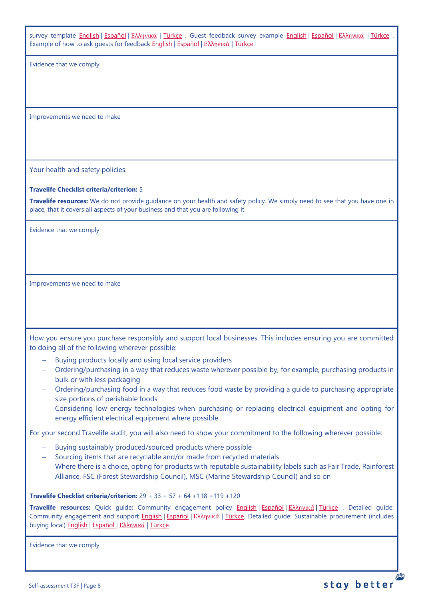survey template [English](https://travelifestaybetter.com/wp-content/uploads/2019/02/5-Example-Guest-Feedback-Survey.pdf) | [Español](https://travelifestaybetter.com/wp-content/uploads/2019/02/5-ES-Example-Guest-Feedback-Survey.pdf) | Ελλ[ηνικά](https://travelifestaybetter.com/wp-content/uploads/2021/01/5-GR-Example-Guest-Feedback-Survey.pdf) | [Türkçe](https://travelifestaybetter.com/wp-content/uploads/2020/08/5-Example-Guest-Feedback-Survey-TR-5-Ornek-Misafir-Geri-Bildirim-Anketi.pdf) . Guest feedback survey example English | Español | Ελληνικά | Türkçe Example of how to ask guests for feedback [English](https://travelifestaybetter.com/wp-content/uploads/2019/02/5-Example-of-Feedback-Insructions-for-Guests.pdf) | [Español](https://travelifestaybetter.com/wp-content/uploads/2019/02/5-ES-Example-Guest-Feedback-Instructions-for-Guests.pdf) | Ελλ[ηνικά](https://travelifestaybetter.com/wp-content/uploads/2021/01/5-GR-Example-of-Feedback-Instructions-for-Guests.pdf) | [Türkçe.](https://travelifestaybetter.com/wp-content/uploads/2020/08/5-Example-of-Feedback-Insructions-for-Guests-TR-5-Ornek-Misafir-Geri-Bildirim-Talimati.pdf)

Evidence that we comply

Improvements we need to make

Your health and safety policies.

### **Travelife Checklist criteria/criterion:** 5

**Travelife resources:** We do not provide guidance on your health and safety policy. We simply need to see that you have one in place, that it covers all aspects of your business and that you are following it.

Evidence that we comply

Improvements we need to make

How you ensure you purchase responsibly and support local businesses. This includes ensuring you are committed to doing all of the following wherever possible:

- Buying products locally and using local service providers
- − Ordering/purchasing in a way that reduces waste wherever possible by, for example, purchasing products in bulk or with less packaging
- − Ordering/purchasing food in a way that reduces food waste by providing a guide to purchasing appropriate size portions of perishable foods
- − Considering low energy technologies when purchasing or replacing electrical equipment and opting for energy efficient electrical equipment where possible

For your second Travelife audit, you will also need to show your commitment to the following wherever possible:

- Buying sustainably produced/sourced products where possible
- − Sourcing items that are recyclable and/or made from recycled materials
- − Where there is a choice, opting for products with reputable sustainability labels such as Fair Trade, Rainforest Alliance, FSC (Forest Stewardship Council), MSC (Marine Stewardship Council) and so on

**Travelife Checklist criteria/criterion:** 29 + 33 + 57 + 64 +118 +119 +120

**Travelife resources:** Quick guide: Community engagement policy [English](https://travelifestaybetter.com/wp-content/uploads/2019/02/7-Quick-Guide-Community-Engagement.pdf) | [Español](https://travelifestaybetter.com/wp-content/uploads/2019/02/7-ES-Quick-Guide-Community-Engagement.pdf) | Ελλ[ηνικά](https://travelifestaybetter.com/wp-content/uploads/2020/07/34-Quick-Guide-Community-Engagement-GR.pdf) | [Türkçe](https://travelifestaybetter.com/wp-content/uploads/2020/08/7-Quick-Guide-Community-Engagement-TR-7-Hizli-Kilavuz-Toplum-Uyum-Politikasi.pdf) . Detailed guide: Community engagement and support [English](https://travelifestaybetter.com/wp-content/uploads/2019/02/7-Detailed-Guide-Community-Engagement.pdf) | Εspañol | Ελλ[ηνικά](https://travelifestaybetter.com/wp-content/uploads/2020/11/7-GR-Detailed-Guide-Community-Engagement.pdf) | [Türkçe.](https://travelifestaybetter.com/wp-content/uploads/2021/01/7-Detailed-Guide-Community-Engagement-TR-Toplum-Katilimi-ve-Destegi-Detayli-Kilavuz.pdf) Detailed guide: Sustainable procurement (includes buying local[\) English](https://travelifestaybetter.com/wp-content/uploads/2019/02/22-Detailed-Guide-Sustainable-Procurement.pdf) | [Español](https://travelifestaybetter.com/wp-content/uploads/2019/03/22-ES-Detailed-Guide-Sustainable-Procurement.pdf) | Ελλ[ηνικά](https://travelifestaybetter.com/wp-content/uploads/2021/01/22-GR-Detailed-Guide-Sustainable-Procurement.pdf) | [Türkçe.](https://travelifestaybetter.com/wp-content/uploads/2021/01/22-Detailed-Guide-Sustainable-Procurement-TR-Surdurulebilir-Tedarik-Detayli-Kilavuz.pdf)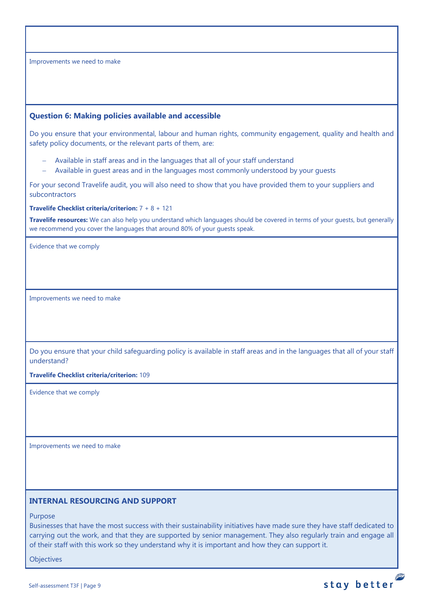## <span id="page-8-0"></span>**Question 6: Making policies available and accessible**

Do you ensure that your environmental, labour and human rights, community engagement, quality and health and safety policy documents, or the relevant parts of them, are:

- − Available in staff areas and in the languages that all of your staff understand
- − Available in guest areas and in the languages most commonly understood by your guests

For your second Travelife audit, you will also need to show that you have provided them to your suppliers and subcontractors

### **Travelife Checklist criteria/criterion:** 7 + 8 + 121

**Travelife resources:** We can also help you understand which languages should be covered in terms of your guests, but generally we recommend you cover the languages that around 80% of your guests speak.

Evidence that we comply

Improvements we need to make

Do you ensure that your child safeguarding policy is available in staff areas and in the languages that all of your staff understand?

**Travelife Checklist criteria/criterion:** 109

Evidence that we comply

Improvements we need to make

## <span id="page-8-1"></span>**INTERNAL RESOURCING AND SUPPORT**

Purpose

Businesses that have the most success with their sustainability initiatives have made sure they have staff dedicated to carrying out the work, and that they are supported by senior management. They also regularly train and engage all of their staff with this work so they understand why it is important and how they can support it.

**Objectives**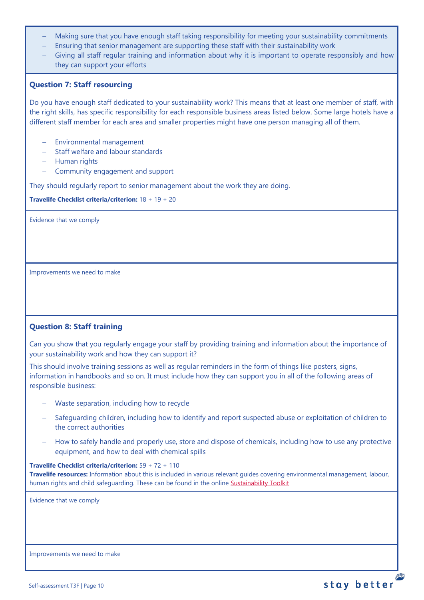- Making sure that you have enough staff taking responsibility for meeting your sustainability commitments
- Ensuring that senior management are supporting these staff with their sustainability work
- Giving all staff regular training and information about why it is important to operate responsibly and how they can support your efforts

# <span id="page-9-0"></span>**Question 7: Staff resourcing**

Do you have enough staff dedicated to your sustainability work? This means that at least one member of staff, with the right skills, has specific responsibility for each responsible business areas listed below. Some large hotels have a different staff member for each area and smaller properties might have one person managing all of them.

- − Environmental management
- − Staff welfare and labour standards
- − Human rights
- − Community engagement and support

They should regularly report to senior management about the work they are doing.

**Travelife Checklist criteria/criterion:** 18 + 19 + 20

Evidence that we comply

Improvements we need to make

# <span id="page-9-1"></span>**Question 8: Staff training**

Can you show that you regularly engage your staff by providing training and information about the importance of your sustainability work and how they can support it?

This should involve training sessions as well as regular reminders in the form of things like posters, signs, information in handbooks and so on. It must include how they can support you in all of the following areas of responsible business:

- − Waste separation, including how to recycle
- Safeguarding children, including how to identify and report suspected abuse or exploitation of children to the correct authorities
- How to safely handle and properly use, store and dispose of chemicals, including how to use any protective equipment, and how to deal with chemical spills

**Travelife Checklist criteria/criterion:** 59 + 72 + 110

**Travelife resources:** Information about this is included in various relevant guides covering environmental management, labour, human rights and child safeguarding. These can be found in the online [Sustainability Toolkit](https://travelifestaybetter.com/accommodation-member-zone/)

Evidence that we comply

Improvements we need to make

P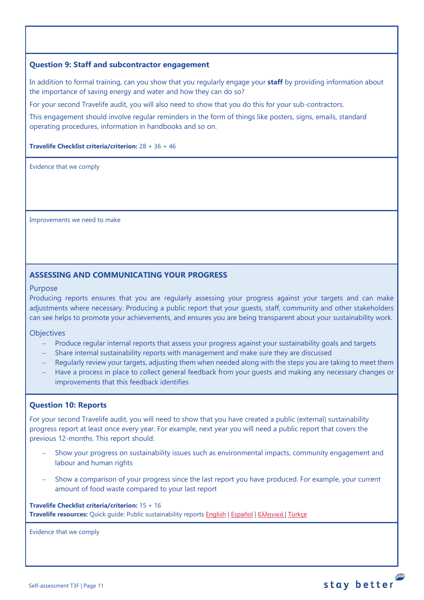# <span id="page-10-0"></span>**Question 9: Staff and subcontractor engagement**

In addition to formal training, can you show that you regularly engage your **staff** by providing information about the importance of saving energy and water and how they can do so?

For your second Travelife audit, you will also need to show that you do this for your sub-contractors.

This engagement should involve regular reminders in the form of things like posters, signs, emails, standard operating procedures, information in handbooks and so on.

### **Travelife Checklist criteria/criterion:** 28 + 36 + 46

Evidence that we comply

Improvements we need to make

## **ASSESSING AND COMMUNICATING YOUR PROGRESS**

### Purpose

Producing reports ensures that you are regularly assessing your progress against your targets and can make adjustments where necessary. Producing a public report that your guests, staff, community and other stakeholders can see helps to promote your achievements, and ensures you are being transparent about your sustainability work.

**Objectives** 

- Produce regular internal reports that assess your progress against your sustainability goals and targets
- − Share internal sustainability reports with management and make sure they are discussed
- Regularly review your targets, adjusting them when needed along with the steps you are taking to meet them
- − Have a process in place to collect general feedback from your guests and making any necessary changes or improvements that this feedback identifies

## <span id="page-10-1"></span>**Question 10: Reports**

For your second Travelife audit, you will need to show that you have created a public (external) sustainability progress report at least once every year. For example, next year you will need a public report that covers the previous 12-months. This report should:

- Show your progress on sustainability issues such as environmental impacts, community engagement and labour and human rights
- Show a comparison of your progress since the last report you have produced. For example, your current amount of food waste compared to your last report

### **Travelife Checklist criteria/criterion:** 15 + 16 **Travelife resources:** Quick guide: Public sustainability reports [English](https://travelifestaybetter.com/wp-content/uploads/2020/12/2-Quick-Guide-Public-Sustinability-Report-V1.1.pdf) | [Español](https://travelifestaybetter.com/wp-content/uploads/2020/12/2-ES-Quick-Guide-Public-Sustinability-Report-V1.1.pdf) | Ελλ[ηνικά](https://travelifestaybetter.com/wp-content/uploads/2020/12/3-Quick-Guide-Public-Sustinability-Report-V1.1-GR.pdf) [| Türkçe](https://travelifestaybetter.com/wp-content/uploads/2020/12/2-Quick-Guide-Public-Sustinability-Report-TR-Hizli-Kilavuz-Sirket-Disi-Surdurulebilirlik-Raporu.pdf)

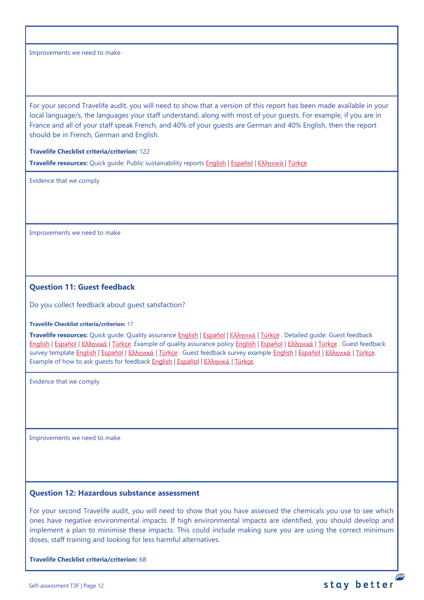For your second Travelife audit, you will need to show that a version of this report has been made available in your local language/s, the languages your staff understand, along with most of your guests. For example, if you are in France and all of your staff speak French, and 40% of your guests are German and 40% English, then the report should be in French, German and English.

### **Travelife Checklist criteria/criterion:** 122

**Travelife resources:** Quick guide: Public sustainability reports [English](https://travelifestaybetter.com/wp-content/uploads/2020/12/2-Quick-Guide-Public-Sustinability-Report-V1.1.pdf) | [Español](https://travelifestaybetter.com/wp-content/uploads/2020/12/2-ES-Quick-Guide-Public-Sustinability-Report-V1.1.pdf) | Ελλ[ηνικά](https://travelifestaybetter.com/wp-content/uploads/2020/12/3-Quick-Guide-Public-Sustinability-Report-V1.1-GR.pdf) [| Türkçe](https://travelifestaybetter.com/wp-content/uploads/2020/12/2-Quick-Guide-Public-Sustinability-Report-TR-Hizli-Kilavuz-Sirket-Disi-Surdurulebilirlik-Raporu.pdf)

Evidence that we comply

Improvements we need to make

## <span id="page-11-0"></span>**Question 11: Guest feedback**

Do you collect feedback about guest satisfaction?

#### **Travelife Checklist criteria/criterion:** 17

**Travelife resources:** Quick guide: Quality assurance [English](https://travelifestaybetter.com/wp-content/uploads/2019/02/4-Quick-Guide-Quality-Assurance.pdf) | [Español](https://travelifestaybetter.com/wp-content/uploads/2019/02/4-ES-Quick-Guide-Quality-Assurance.pdf) | Ελλ[ηνικά](https://travelifestaybetter.com/wp-content/uploads/2020/07/32-Quick-Guide-Quality-Assurance-GR.pdf) | [Türkçe](https://travelifestaybetter.com/wp-content/uploads/2020/11/4-Quick-Guide-Quality-Assurance-TR-4-Hizli-Kilavuz-Kalite-Guvence.pdf) . Detailed guide: Guest feedback [English](https://travelifestaybetter.com/wp-content/uploads/2019/02/5-Detailed-Guide-Collecting-Guest-Feedback.pdf) | [Español](https://travelifestaybetter.com/wp-content/uploads/2019/02/5-ES-Detailed-Guide-Collecting-Guest-Feedback.pdf) | Ελλ[ηνικά](https://travelifestaybetter.com/wp-content/uploads/2021/01/5-GR-Detailed-Guide-Collecting-Guest-Feedback.pdf) | [Türkçe.](https://travelifestaybetter.com/wp-content/uploads/2021/01/5-Detailed-Guide-Collecting-Guest-Feedback-TR-Misafir-Geri-Bildirimlerini-Toplama-Detayli-Kilavuz.pdf) Example of quality assurance policy [English](https://travelifestaybetter.com/wp-content/uploads/2019/02/4-Example-Quality-Assurance-Policy.pdf) | [Español](https://travelifestaybetter.com/wp-content/uploads/2019/02/4-ES-Example-Quality-Assurance-Policy.pdf) | Ελλ[ηνικά](https://travelifestaybetter.com/wp-content/uploads/2020/07/33-Example-Quality-Assurance-Policy-GR.pdf) | [Türkçe](https://travelifestaybetter.com/wp-content/uploads/2020/08/4-Example-Quality-Assurance-Policy-TR-4-Ornek-Kalite-Guvence-Politikasi.pdf) . Guest feedback survey template [English](https://travelifestaybetter.com/wp-content/uploads/2019/02/5-Template-Guest-Feedback-Survey.docx) | [Español](https://travelifestaybetter.com/wp-content/uploads/2019/02/5-ES-Template-Guest-Feedback-Survey.docx) | Ελλ[ηνικά](https://travelifestaybetter.com/wp-content/uploads/2021/01/5-GR-Template-Guest-Feedback-Survey.docx) | [Türkçe](https://travelifestaybetter.com/wp-content/uploads/2020/08/5-Template-Guest-Feedback-Survey-TR-5-Misafir-Geri-Bildirim-Sablonu.docx) . Guest feedback survey example [English](https://travelifestaybetter.com/wp-content/uploads/2019/02/5-Example-Guest-Feedback-Survey.pdf) | [Español](https://travelifestaybetter.com/wp-content/uploads/2019/02/5-ES-Example-Guest-Feedback-Survey.pdf) | Ελλ[ηνικά](https://travelifestaybetter.com/wp-content/uploads/2021/01/5-GR-Example-Guest-Feedback-Survey.pdf) | [Türkçe.](https://travelifestaybetter.com/wp-content/uploads/2020/08/5-Example-Guest-Feedback-Survey-TR-5-Ornek-Misafir-Geri-Bildirim-Anketi.pdf) Example of how to ask guests for feedback [English](https://travelifestaybetter.com/wp-content/uploads/2019/02/5-Example-of-Feedback-Insructions-for-Guests.pdf) | [Español](https://travelifestaybetter.com/wp-content/uploads/2019/02/5-ES-Example-Guest-Feedback-Instructions-for-Guests.pdf) | Ελλ[ηνικά](https://travelifestaybetter.com/wp-content/uploads/2021/01/5-GR-Example-of-Feedback-Instructions-for-Guests.pdf) | [Türkçe.](https://travelifestaybetter.com/wp-content/uploads/2020/08/5-Example-of-Feedback-Insructions-for-Guests-TR-5-Ornek-Misafir-Geri-Bildirim-Talimati.pdf)

Evidence that we comply

Improvements we need to make

## <span id="page-11-1"></span>**Question 12: Hazardous substance assessment**

For your second Travelife audit, you will need to show that you have assessed the chemicals you use to see which ones have negative environmental impacts. If high environmental impacts are identified, you should develop and implement a plan to minimise these impacts. This could include making sure you are using the correct minimum doses, staff training and looking for less harmful alternatives.

**Travelife Checklist criteria/criterion:** 68

P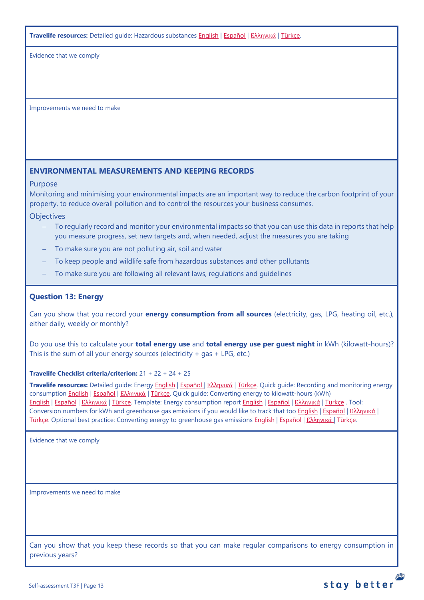**Travelife resources:** Detailed guide: Hazardous substances [English](https://travelifestaybetter.com/wp-content/uploads/2019/02/20-Detailed-Guide-Hazardous-Substances.pdf) | [Español](https://travelifestaybetter.com/wp-content/uploads/2019/02/20-ES-Detailed-Guide-Hazardous-Substances.pdf) | Ελλ[ηνικά](https://travelifestaybetter.com/wp-content/uploads/2021/01/20-GR-Detailed-Guide-Hazardous-Substances.pdf) | [Türkçe.](https://travelifestaybetter.com/wp-content/uploads/2021/01/20-Detailed-Guide-Hazardous-Substances-TR-Tehlikeli-Maddeler-Detayli-Kilavuz.pdf)

Evidence that we comply

Improvements we need to make

# <span id="page-12-0"></span>**ENVIRONMENTAL MEASUREMENTS AND KEEPING RECORDS**

### Purpose

Monitoring and minimising your environmental impacts are an important way to reduce the carbon footprint of your property, to reduce overall pollution and to control the resources your business consumes.

**Objectives** 

- To regularly record and monitor your environmental impacts so that you can use this data in reports that help you measure progress, set new targets and, when needed, adjust the measures you are taking
- To make sure you are not polluting air, soil and water
- To keep people and wildlife safe from hazardous substances and other pollutants
- To make sure you are following all relevant laws, regulations and guidelines

# <span id="page-12-1"></span>**Question 13: Energy**

Can you show that you record your **energy consumption from all sources** (electricity, gas, LPG, heating oil, etc.), either daily, weekly or monthly?

Do you use this to calculate your **total energy use** and **total energy use per guest night** in kWh (kilowatt-hours)? This is the sum of all your energy sources (electricity  $+$  gas  $+$  LPG, etc.)

**Travelife Checklist criteria/criterion:** 21 + 22 + 24 + 25

**Travelife resources:** Detailed guide: Energy [English](https://travelifestaybetter.com/wp-content/uploads/2019/02/17-Detailed-Guide-Energy.pdf) | [Español](https://travelifestaybetter.com/wp-content/uploads/2019/02/17-ES-Detailed-Guide-Energy.pdf) | Ελλ[ηνικά](https://travelifestaybetter.com/wp-content/uploads/2020/11/17-GR-Detailed-Guide-Energy.pdf) | [Türkçe.](https://travelifestaybetter.com/wp-content/uploads/2021/01/17-Detailed-Guide-Energy-TR-Enerji-Detayli-Kilavuz.pdf) Quick guide: Recording and monitoring energy consumption [English](https://travelifestaybetter.com/wp-content/uploads/2019/02/17-Quick-Guide-Monitoring-Reporting-Energy-Use.pdf) | [Español](https://travelifestaybetter.com/wp-content/uploads/2019/02/17-ES-Quick-Guide-Monitoring-Reporting-Energy-Use.pdf) | Ελλ[ηνικά](https://travelifestaybetter.com/wp-content/uploads/2020/01/12-Quick-Guide-Monitoring-Reporting-Energy-Use-GR.pdf) | [Türkçe.](https://travelifestaybetter.com/wp-content/uploads/2020/10/17-Quick-Guide-Monitoring-Reporting-Energy-Use-TR-Enerjinin-Takibi-ve-Raporlanmasi-icin-Hizli-Kilavuz.pdf) Quick guide: Converting energy to kilowatt-hours (kWh) [English](https://travelifestaybetter.com/wp-content/uploads/2019/02/17-Quick-Guide-Converting-Energy-to-Kilowatt-Hours.pdf) | [Español](https://travelifestaybetter.com/wp-content/uploads/2019/03/17-ES-Quick-Guide-Converting-Energy-to-Kilowatt-Hours.pdf) | Ελλ[ηνικά](https://travelifestaybetter.com/wp-content/uploads/2020/01/13-Quick-Guide-Converting-Energy-to-Kilowatt-Hours-GR.pdf) | [Türkçe.](https://travelifestaybetter.com/wp-content/uploads/2020/10/17-Quick-Guide-Converting-Energy-to-Kilowatt-Hours-TR-Enerjinin-Kilovatsaata-Donusturulmesi-icin-Hizli-Kilavuz.pdf) Template: Energy consumption report [English](https://travelifestaybetter.com/wp-content/uploads/2019/02/17-Template-Recording-Energy-Consumption.xlsx) | [Español](https://travelifestaybetter.com/wp-content/uploads/2019/02/17-ES-Template-Recording-Energy-Consumption.xlsx) | Ελλ[ηνικά](https://travelifestaybetter.com/wp-content/uploads/2019/08/17-GR-Template-Recording-Energy-Consumption.xlsx) | [Türkçe](https://travelifestaybetter.com/wp-content/uploads/2020/07/17-Template-Recording-Energy-Consumption-TR-Enerji-T%C3%BCketiminin-Kayd%C4%B1-%C5%9Eablonu.xlsx) . Tool: Conversion numbers for kWh and greenhouse gas emissions if you would like to track that too [English](https://travelifestaybetter.com/wp-content/uploads/2019/02/17-Fuel-Conversion-Rates-to-kWh-and-CO2e.pdf) | [Español](https://travelifestaybetter.com/wp-content/uploads/2019/02/17-ES-Fuel-Conversion-to-kWh-and-CO2e.pdf) | Ελλ[ηνικά](https://travelifestaybetter.com/wp-content/uploads/2020/01/11-Fuel-Conversion-to-kWh-and-CO2e-GR.pdf) | [Türkçe.](https://travelifestaybetter.com/wp-content/uploads/2020/10/17-Fuel-Conversion-to-kWh-and-CO2e-TR-Yakitin-kWh-ve-CO2eye-Donusturulmesi.pdf) Optional best practice: Converting energy to greenhouse gas emissions [English](https://travelifestaybetter.com/wp-content/uploads/2019/02/17-Quick-Guide-Converting-Energy-to-CO2e.pdf) | [Español](https://travelifestaybetter.com/wp-content/uploads/2019/02/17-ES-Quick-Guide-Converting-Energy-to-CO2e.pdf) | Ελλ[ηνικά](https://travelifestaybetter.com/wp-content/uploads/2020/01/14-Quick-Guide-Converting-Energy-to-CO2e-GR.pdf) | [Türkçe.](https://travelifestaybetter.com/wp-content/uploads/2020/10/17-Quick-Guide-Converting-Energy-to-CO2e-TR-Enerjinin-CO2eye-Donusturulmesi-icin-Hizli-Kilavuz.pdf)

Evidence that we comply

Improvements we need to make

Can you show that you keep these records so that you can make regular comparisons to energy consumption in previous years?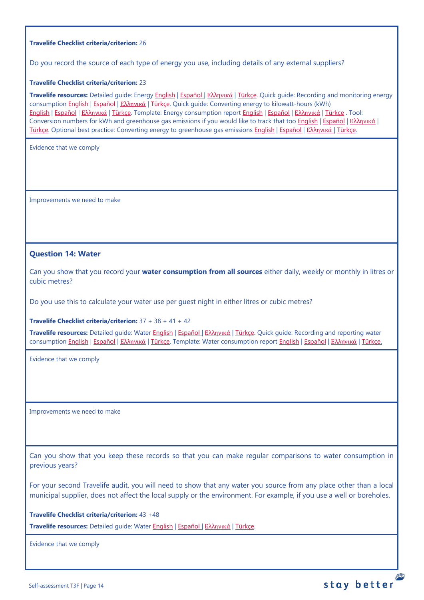### **Travelife Checklist criteria/criterion:** 26

Do you record the source of each type of energy you use, including details of any external suppliers?

#### **Travelife Checklist criteria/criterion:** 23

**Travelife resources:** Detailed guide: Energy [English](https://travelifestaybetter.com/wp-content/uploads/2019/02/17-Detailed-Guide-Energy.pdf) | [Español](https://travelifestaybetter.com/wp-content/uploads/2019/02/17-ES-Detailed-Guide-Energy.pdf) | Ελλ[ηνικά](https://travelifestaybetter.com/wp-content/uploads/2020/11/17-GR-Detailed-Guide-Energy.pdf) | [Türkçe.](https://travelifestaybetter.com/wp-content/uploads/2021/01/17-Detailed-Guide-Energy-TR-Enerji-Detayli-Kilavuz.pdf) Quick guide: Recording and monitoring energy consumption [English](https://travelifestaybetter.com/wp-content/uploads/2019/02/17-Quick-Guide-Monitoring-Reporting-Energy-Use.pdf) | [Español](https://travelifestaybetter.com/wp-content/uploads/2019/02/17-ES-Quick-Guide-Monitoring-Reporting-Energy-Use.pdf) | Ελλ[ηνικά](https://travelifestaybetter.com/wp-content/uploads/2020/01/12-Quick-Guide-Monitoring-Reporting-Energy-Use-GR.pdf) | [Türkçe.](https://travelifestaybetter.com/wp-content/uploads/2020/10/17-Quick-Guide-Monitoring-Reporting-Energy-Use-TR-Enerjinin-Takibi-ve-Raporlanmasi-icin-Hizli-Kilavuz.pdf) Quick guide: Converting energy to kilowatt-hours (kWh) [English](https://travelifestaybetter.com/wp-content/uploads/2019/02/17-Quick-Guide-Converting-Energy-to-Kilowatt-Hours.pdf) | [Español](https://travelifestaybetter.com/wp-content/uploads/2019/03/17-ES-Quick-Guide-Converting-Energy-to-Kilowatt-Hours.pdf) | Ελλ[ηνικά](https://travelifestaybetter.com/wp-content/uploads/2020/01/13-Quick-Guide-Converting-Energy-to-Kilowatt-Hours-GR.pdf) | [Türkçe.](https://travelifestaybetter.com/wp-content/uploads/2020/10/17-Quick-Guide-Converting-Energy-to-Kilowatt-Hours-TR-Enerjinin-Kilovatsaata-Donusturulmesi-icin-Hizli-Kilavuz.pdf) Template: Energy consumption report [English](https://travelifestaybetter.com/wp-content/uploads/2019/02/17-Template-Recording-Energy-Consumption.xlsx) | [Español](https://travelifestaybetter.com/wp-content/uploads/2019/02/17-ES-Template-Recording-Energy-Consumption.xlsx) | Ελλ[ηνικά](https://travelifestaybetter.com/wp-content/uploads/2019/08/17-GR-Template-Recording-Energy-Consumption.xlsx) | [Türkçe](https://travelifestaybetter.com/wp-content/uploads/2020/07/17-Template-Recording-Energy-Consumption-TR-Enerji-T%C3%BCketiminin-Kayd%C4%B1-%C5%9Eablonu.xlsx) . Tool: Conversion numbers for kWh and greenhouse gas emissions if you would like to track that too [English](https://travelifestaybetter.com/wp-content/uploads/2019/02/17-Fuel-Conversion-Rates-to-kWh-and-CO2e.pdf) | [Español](https://travelifestaybetter.com/wp-content/uploads/2019/02/17-ES-Fuel-Conversion-to-kWh-and-CO2e.pdf) | Ελλ[ηνικά](https://travelifestaybetter.com/wp-content/uploads/2020/01/11-Fuel-Conversion-to-kWh-and-CO2e-GR.pdf) | [Türkçe.](https://travelifestaybetter.com/wp-content/uploads/2020/10/17-Fuel-Conversion-to-kWh-and-CO2e-TR-Yakitin-kWh-ve-CO2eye-Donusturulmesi.pdf) Optional best practice: Converting energy to greenhouse gas emissions [English](https://travelifestaybetter.com/wp-content/uploads/2019/02/17-Quick-Guide-Converting-Energy-to-CO2e.pdf) | [Español](https://travelifestaybetter.com/wp-content/uploads/2019/02/17-ES-Quick-Guide-Converting-Energy-to-CO2e.pdf) | Ελλ[ηνικά](https://travelifestaybetter.com/wp-content/uploads/2020/01/14-Quick-Guide-Converting-Energy-to-CO2e-GR.pdf) | [Türkçe.](https://travelifestaybetter.com/wp-content/uploads/2020/10/17-Quick-Guide-Converting-Energy-to-CO2e-TR-Enerjinin-CO2eye-Donusturulmesi-icin-Hizli-Kilavuz.pdf)

Evidence that we comply

Improvements we need to make

## <span id="page-13-0"></span>**Question 14: Water**

Can you show that you record your **water consumption from all sources** either daily, weekly or monthly in litres or cubic metres?

Do you use this to calculate your water use per guest night in either litres or cubic metres?

**Travelife Checklist criteria/criterion:** 37 + 38 + 41 + 42

**Travelife resources:** Detailed guide: Water [English](https://travelifestaybetter.com/wp-content/uploads/2019/02/18-Detailed-Guide-Water.pdf) | [Español](https://travelifestaybetter.com/wp-content/uploads/2019/02/18-ES-Detailed-Guide-Water.pdf) | Ελλ[ηνικά](https://travelifestaybetter.com/wp-content/uploads/2020/11/18-GR-Detailed-Guide-Water.pdf) | [Türkçe.](https://travelifestaybetter.com/wp-content/uploads/2021/01/18-Detailed-Guide-Water-TR-Su-Detayli-Kilavuz.pdf) Quick guide: Recording and reporting water consumption [English](https://travelifestaybetter.com/wp-content/uploads/2019/02/18-Template-Recording-Water-Consumption.xlsx) | Εspañol | Ελλ[ηνικά](https://travelifestaybetter.com/wp-content/uploads/2019/08/18-GR-Template-Recording-Water-Consumption.xlsx) | [Türkçe.](https://travelifestaybetter.com/wp-content/uploads/2020/10/18-Quick-Guide-Recording-Water-Consumption-TR-Su-Tuketiminin-Kayit-Edilmesi-icin-Hizli-Kilavuz.pdf) Template: Water consumption report English | Εspañol | Ελληνικά | [Türkçe.](https://travelifestaybetter.com/wp-content/uploads/2020/07/18-Template-Recording-Water-Consumption-TR-Su-T%C3%BCketiminin-Kayd%C4%B1-%C5%9Eablonu.xlsx)

Evidence that we comply

Improvements we need to make

Can you show that you keep these records so that you can make regular comparisons to water consumption in previous years?

For your second Travelife audit, you will need to show that any water you source from any place other than a local municipal supplier, does not affect the local supply or the environment. For example, if you use a well or boreholes.

**Travelife Checklist criteria/criterion:** 43 +48 **Travelife resources:** Detailed guide: Water [English](https://travelifestaybetter.com/wp-content/uploads/2019/02/18-Detailed-Guide-Water.pdf) | [Español](https://travelifestaybetter.com/wp-content/uploads/2019/02/18-ES-Detailed-Guide-Water.pdf) | Ελλ[ηνικά](https://travelifestaybetter.com/wp-content/uploads/2020/11/18-GR-Detailed-Guide-Water.pdf) | [Türkçe.](https://travelifestaybetter.com/wp-content/uploads/2021/01/18-Detailed-Guide-Water-TR-Su-Detayli-Kilavuz.pdf)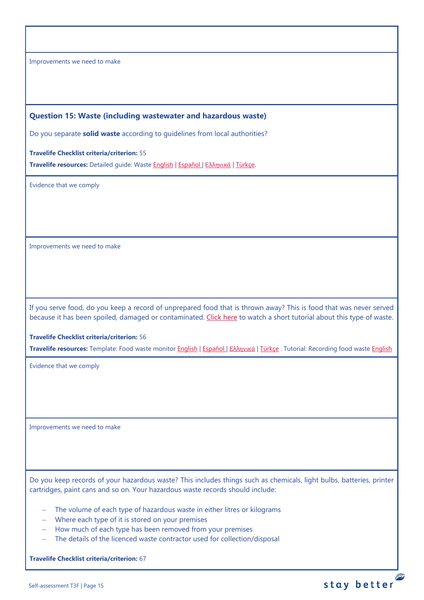## <span id="page-14-0"></span>**Question 15: Waste (including wastewater and hazardous waste)**

Do you separate **solid waste** according to guidelines from local authorities?

**Travelife Checklist criteria/criterion:** 55

**Travelife resources:** Detailed guide: Waste [English](https://travelifestaybetter.com/wp-content/uploads/2019/02/19-Detailed-Guide-Waste.pdf) | [Español](https://travelifestaybetter.com/wp-content/uploads/2019/02/19-ES-Detailed-Guide-Waste.pdf) | Ελλ[ηνικά](https://travelifestaybetter.com/wp-content/uploads/2021/01/19-GR-Detailed-Guide-Waste.pdf) | [Türkçe.](https://travelifestaybetter.com/wp-content/uploads/2021/01/19-Detailed-Guide-Waste-TR-Atik-Detayli-Kilavuz.pdf)

Evidence that we comply

Improvements we need to make

If you serve food, do you keep a record of unprepared food that is thrown away? This is food that was never served because it has been spoiled, damaged or contaminated. [Click here](https://travelifestaybetter.com/wp-content/uploads/2020/05/Travelife-Tutorial-Recording-Food-Waste.mp4) to watch a short tutorial about this type of waste.

### **Travelife Checklist criteria/criterion:** 56

**Travelife resources:** Template: Food waste monitor [English](https://travelifestaybetter.com/wp-content/uploads/2019/03/19-Food-Waste-Monitoring-Template.xlsx) | [Español](https://travelifestaybetter.com/wp-content/uploads/2019/09/19-ES-Food-Waste-Monitoring-Template.xlsx) | Ελλ[ηνικά](https://travelifestaybetter.com/19-gr-food-waste-monitoring-template/) | [Türkçe](https://travelifestaybetter.com/wp-content/uploads/2020/07/19-Food-Waste-Monitoring-Template-TR-G%C4%B1da-At%C4%B1k-Takip-%C5%9Eablonu.xlsx) . Tutorial: Recording food waste [English](https://travelifestaybetter.com/wp-content/uploads/2020/05/Travelife-Tutorial-Recording-Food-Waste.mp4)

Evidence that we comply

Improvements we need to make

Do you keep records of your hazardous waste? This includes things such as chemicals, light bulbs, batteries, printer cartridges, paint cans and so on. Your hazardous waste records should include:

P

stay better

- − The volume of each type of hazardous waste in either litres or kilograms
- − Where each type of it is stored on your premises
- − How much of each type has been removed from your premises
- − The details of the licenced waste contractor used for collection/disposal

**Travelife Checklist criteria/criterion:** 67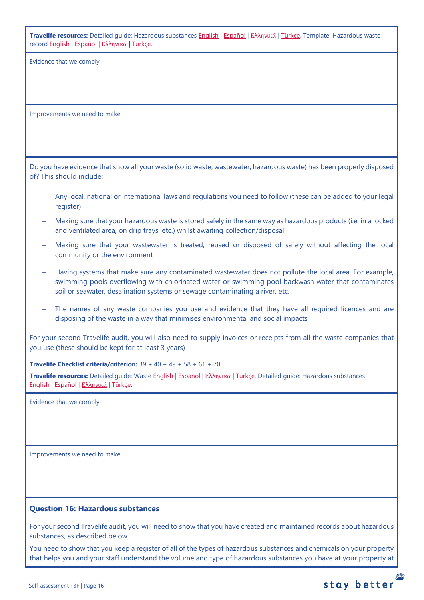**Travelife resources:** Detailed guide: Hazardous substances [English](https://travelifestaybetter.com/wp-content/uploads/2019/02/20-Detailed-Guide-Hazardous-Substances.pdf) | [Español](https://travelifestaybetter.com/wp-content/uploads/2019/02/20-ES-Detailed-Guide-Hazardous-Substances.pdf) | Ελλ[ηνικά](https://travelifestaybetter.com/wp-content/uploads/2021/01/20-GR-Detailed-Guide-Hazardous-Substances.pdf) | [Türkçe.](https://travelifestaybetter.com/wp-content/uploads/2021/01/20-Detailed-Guide-Hazardous-Substances-TR-Tehlikeli-Maddeler-Detayli-Kilavuz.pdf) Template: Hazardous waste recor[d English](https://travelifestaybetter.com/wp-content/uploads/2019/03/20-Template-Hazardous-Waste-Record.xlsx) | [Español](https://travelifestaybetter.com/wp-content/uploads/2019/09/20-ES-Template-Hazardous-Waste-Record.xlsx) | Ελλ[ηνικά](https://travelifestaybetter.com/20-gr-template-hazardous-waste-record/) | [Türkçe.](https://travelifestaybetter.com/wp-content/uploads/2020/07/20-Template-Hazardous-Waste-Record-TR-Tehlikeli-At%C4%B1k-Kay%C4%B1t-%C5%9Eablonu.xlsx)

Evidence that we comply

Improvements we need to make

Do you have evidence that show all your waste (solid waste, wastewater, hazardous waste) has been properly disposed of? This should include:

- − Any local, national or international laws and regulations you need to follow (these can be added to your legal register)
- − Making sure that your hazardous waste is stored safely in the same way as hazardous products (i.e. in a locked and ventilated area, on drip trays, etc.) whilst awaiting collection/disposal
- − Making sure that your wastewater is treated, reused or disposed of safely without affecting the local community or the environment
- − Having systems that make sure any contaminated wastewater does not pollute the local area. For example, swimming pools overflowing with chlorinated water or swimming pool backwash water that contaminates soil or seawater, desalination systems or sewage contaminating a river, etc.
- − The names of any waste companies you use and evidence that they have all required licences and are disposing of the waste in a way that minimises environmental and social impacts

For your second Travelife audit, you will also need to supply invoices or receipts from all the waste companies that you use (these should be kept for at least 3 years)

**Travelife Checklist criteria/criterion:** 39 + 40 + 49 + 58 + 61 + 70

**Travelife resources:** Detailed guide: Waste [English](https://travelifestaybetter.com/wp-content/uploads/2019/02/19-Detailed-Guide-Waste.pdf) | [Español](https://travelifestaybetter.com/wp-content/uploads/2019/02/19-ES-Detailed-Guide-Waste.pdf) | Ελλ[ηνικά](https://travelifestaybetter.com/wp-content/uploads/2021/01/19-GR-Detailed-Guide-Waste.pdf) | [Türkçe.](https://travelifestaybetter.com/wp-content/uploads/2021/01/19-Detailed-Guide-Waste-TR-Atik-Detayli-Kilavuz.pdf) Detailed guide: Hazardous substances [English](https://travelifestaybetter.com/wp-content/uploads/2019/02/20-Detailed-Guide-Hazardous-Substances.pdf) | [Español](https://travelifestaybetter.com/wp-content/uploads/2019/02/20-ES-Detailed-Guide-Hazardous-Substances.pdf) | Ελλ[ηνικά](https://travelifestaybetter.com/wp-content/uploads/2021/01/20-GR-Detailed-Guide-Hazardous-Substances.pdf) | [Türkçe.](https://travelifestaybetter.com/wp-content/uploads/2021/01/20-Detailed-Guide-Hazardous-Substances-TR-Tehlikeli-Maddeler-Detayli-Kilavuz.pdf)

Evidence that we comply

Improvements we need to make

## <span id="page-15-0"></span>**Question 16: Hazardous substances**

For your second Travelife audit, you will need to show that you have created and maintained records about hazardous substances, as described below.

You need to show that you keep a register of all of the types of hazardous substances and chemicals on your property that helps you and your staff understand the volume and type of hazardous substances you have at your property at

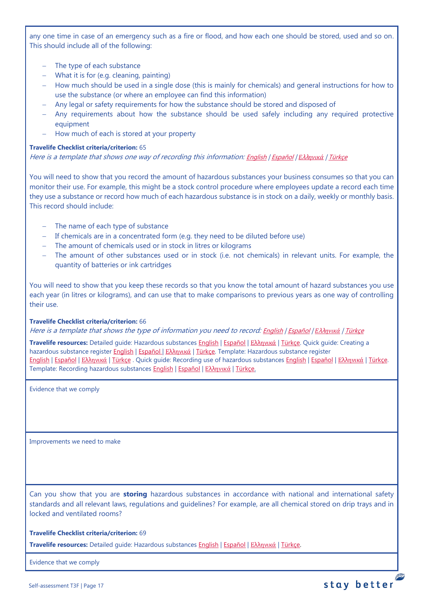any one time in case of an emergency such as a fire or flood, and how each one should be stored, used and so on. This should include all of the following:

- − The type of each substance
- − What it is for (e.g. cleaning, painting)
- − How much should be used in a single dose (this is mainly for chemicals) and general instructions for how to use the substance (or where an employee can find this information)
- − Any legal or safety requirements for how the substance should be stored and disposed of
- − Any requirements about how the substance should be used safely including any required protective equipment
- − How much of each is stored at your property

### **Travelife Checklist criteria/criterion:** 65

Here is a template that shows one way of recording this information: [English](https://travelifestaybetter.com/wp-content/uploads/2019/02/20-Member-Template-Hazardous-Substance-Register.xlsx) | [Español](https://travelifestaybetter.com/wp-content/uploads/2019/02/20-ES-Member-Template-Hazardous-Substance-Register.xlsx) | *Ε*λλ*[ηνικά](https://travelifestaybetter.com/20-gr-member-template-hazardous-substance-register/)* | [Türkçe](https://travelifestaybetter.com/wp-content/uploads/2020/07/20-Member-Template-Hazardous-Substance-Register-TR-Tehlikeli-Madde-Kayd%C4%B1-%C3%9Cye-%C5%9Eablonu.xlsx)

You will need to show that you record the amount of hazardous substances your business consumes so that you can monitor their use. For example, this might be a stock control procedure where employees update a record each time they use a substance or record how much of each hazardous substance is in stock on a daily, weekly or monthly basis. This record should include:

- − The name of each type of substance
- − If chemicals are in a concentrated form (e.g. they need to be diluted before use)
- − The amount of chemicals used or in stock in litres or kilograms
- − The amount of other substances used or in stock (i.e. not chemicals) in relevant units. For example, the quantity of batteries or ink cartridges

You will need to show that you keep these records so that you know the total amount of hazard substances you use each year (in litres or kilograms), and can use that to make comparisons to previous years as one way of controlling their use.

## **Travelife Checklist criteria/criterion:** 66

Here is a template that shows the type of information you need to record: [English](https://travelifestaybetter.com/wp-content/uploads/2019/02/20-Member-Template-Recording-Use-of-Hazardous-Substances.xlsx) | [Español](https://travelifestaybetter.com/wp-content/uploads/2019/02/20-ES-Member-Template-Recording-Use-of-Hazardous-Substances.xlsx) | *Ε*λλ*[ηνικά](https://travelifestaybetter.com/wp-content/uploads/2019/08/20-GR-Member-Template-Recording-Use-of-Hazardous-Substances.xlsx)* | [Türkçe](https://travelifestaybetter.com/wp-content/uploads/2020/07/20-Member-Template-Recording-Use-of-Hazardous-Substances-TR-Tehlikeli-Madde-Kullan%C4%B1m-Kayd%C4%B1-%C3%9Cye-%C5%9Eablonu.xlsx)

**Travelife resources:** Detailed guide: Hazardous substances [English](https://travelifestaybetter.com/wp-content/uploads/2019/02/20-Detailed-Guide-Hazardous-Substances.pdf) | [Español](https://travelifestaybetter.com/wp-content/uploads/2019/02/20-ES-Detailed-Guide-Hazardous-Substances.pdf) | Ελλ[ηνικά](https://travelifestaybetter.com/wp-content/uploads/2021/01/20-GR-Detailed-Guide-Hazardous-Substances.pdf) | [Türkçe.](https://travelifestaybetter.com/wp-content/uploads/2021/01/20-Detailed-Guide-Hazardous-Substances-TR-Tehlikeli-Maddeler-Detayli-Kilavuz.pdf) Quick guide: Creating a hazardous substance register [English](https://travelifestaybetter.com/wp-content/uploads/2019/02/20-Quick-Guide-Creating-a-Hazardous-Substance-Register.pdf) | [Español](https://travelifestaybetter.com/wp-content/uploads/2019/02/20-ES-Quick-Guide-Creating-a-Hazardous-Substance-Register.pdf) | Ελλ[ηνικά](https://travelifestaybetter.com/wp-content/uploads/2020/01/19-Quick-Guide-Creating-a-Hazardous-Substance-Register-GR.pdf) | [Türkçe.](https://travelifestaybetter.com/wp-content/uploads/2020/10/20-Quick-Guide-Creating-a-Hazardous-Substance-Register-TR-Tehlikeli-Madde-Kaydi-Olusturmak-icin-Hizli-Kilavuz.pdf) Template: Hazardous substance register [English](https://travelifestaybetter.com/wp-content/uploads/2019/02/20-Member-Template-Hazardous-Substance-Register.xlsx) | [Español](https://travelifestaybetter.com/wp-content/uploads/2019/02/20-ES-Member-Template-Hazardous-Substance-Register.xlsx) | Ελλ[ηνικά](https://travelifestaybetter.com/20-gr-member-template-hazardous-substance-register/) | [Türkçe](https://travelifestaybetter.com/wp-content/uploads/2020/07/20-Member-Template-Hazardous-Substance-Register-TR-Tehlikeli-Madde-Kayd%C4%B1-%C3%9Cye-%C5%9Eablonu.xlsx) . Quick guide: Recording use of hazardous substance[s English](https://travelifestaybetter.com/wp-content/uploads/2019/02/20-Quick-Guide-Recording-Use-of-Hazardous-Substances.pdf) | [Español](https://travelifestaybetter.com/wp-content/uploads/2019/02/20-ES-Quick-Guide-Recording-Use-of-Hazardous-Substances.pdf) | Ελλ[ηνικά](https://travelifestaybetter.com/wp-content/uploads/2020/01/20-Quick-Guide-Recording-Use-of-Hazardous-Substances-GR.pdf) | [Türkçe.](https://travelifestaybetter.com/wp-content/uploads/2020/10/20-Quick-Guide-Recording-Use-of-Hazardous-Substances-TR-Tehlikeli-Maddelerin-Kullaniminin-Kaydi-icin-Hizli-Kilavuz.pdf) Template: Recording hazardous substances [English](https://travelifestaybetter.com/wp-content/uploads/2019/02/20-Member-Template-Recording-Use-of-Hazardous-Substances.xlsx) | [Español](https://travelifestaybetter.com/wp-content/uploads/2019/02/20-ES-Member-Template-Recording-Use-of-Hazardous-Substances.xlsx) | Ελλ[ηνικά](https://travelifestaybetter.com/20-gr-member-template-recording-use-of-hazardous-substances/) | [Türkçe.](https://travelifestaybetter.com/wp-content/uploads/2020/07/20-Member-Template-Recording-Use-of-Hazardous-Substances-TR-Tehlikeli-Madde-Kullan%C4%B1m-Kayd%C4%B1-%C3%9Cye-%C5%9Eablonu.xlsx)

Evidence that we comply

Improvements we need to make

Can you show that you are **storing** hazardous substances in accordance with national and international safety standards and all relevant laws, regulations and guidelines? For example, are all chemical stored on drip trays and in locked and ventilated rooms?

#### **Travelife Checklist criteria/criterion:** 69

**Travelife resources:** Detailed guide: Hazardous substances [English](https://travelifestaybetter.com/wp-content/uploads/2019/02/20-Detailed-Guide-Hazardous-Substances.pdf) | [Español](https://travelifestaybetter.com/wp-content/uploads/2019/02/20-ES-Detailed-Guide-Hazardous-Substances.pdf) | Ελλ[ηνικά](https://travelifestaybetter.com/wp-content/uploads/2021/01/20-GR-Detailed-Guide-Hazardous-Substances.pdf) | [Türkçe.](https://travelifestaybetter.com/wp-content/uploads/2021/01/20-Detailed-Guide-Hazardous-Substances-TR-Tehlikeli-Maddeler-Detayli-Kilavuz.pdf)

Evidence that we comply

P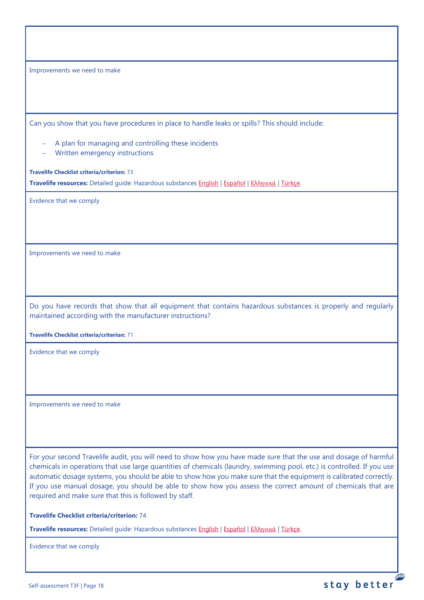| Improvements we need to make                                                                                                                                                                                                                                                                                                                                                                                                                                                                                                                |  |  |  |  |
|---------------------------------------------------------------------------------------------------------------------------------------------------------------------------------------------------------------------------------------------------------------------------------------------------------------------------------------------------------------------------------------------------------------------------------------------------------------------------------------------------------------------------------------------|--|--|--|--|
|                                                                                                                                                                                                                                                                                                                                                                                                                                                                                                                                             |  |  |  |  |
|                                                                                                                                                                                                                                                                                                                                                                                                                                                                                                                                             |  |  |  |  |
| Can you show that you have procedures in place to handle leaks or spills? This should include:                                                                                                                                                                                                                                                                                                                                                                                                                                              |  |  |  |  |
| A plan for managing and controlling these incidents<br>Written emergency instructions                                                                                                                                                                                                                                                                                                                                                                                                                                                       |  |  |  |  |
| <b>Travelife Checklist criteria/criterion: 73</b>                                                                                                                                                                                                                                                                                                                                                                                                                                                                                           |  |  |  |  |
| Travelife resources: Detailed guide: Hazardous substances English   Español   Ελληνικά   Türkçe.                                                                                                                                                                                                                                                                                                                                                                                                                                            |  |  |  |  |
| Evidence that we comply                                                                                                                                                                                                                                                                                                                                                                                                                                                                                                                     |  |  |  |  |
|                                                                                                                                                                                                                                                                                                                                                                                                                                                                                                                                             |  |  |  |  |
|                                                                                                                                                                                                                                                                                                                                                                                                                                                                                                                                             |  |  |  |  |
| Improvements we need to make                                                                                                                                                                                                                                                                                                                                                                                                                                                                                                                |  |  |  |  |
|                                                                                                                                                                                                                                                                                                                                                                                                                                                                                                                                             |  |  |  |  |
|                                                                                                                                                                                                                                                                                                                                                                                                                                                                                                                                             |  |  |  |  |
| Do you have records that show that all equipment that contains hazardous substances is properly and regularly<br>maintained according with the manufacturer instructions?                                                                                                                                                                                                                                                                                                                                                                   |  |  |  |  |
| <b>Travelife Checklist criteria/criterion: 71</b>                                                                                                                                                                                                                                                                                                                                                                                                                                                                                           |  |  |  |  |
| Evidence that we comply                                                                                                                                                                                                                                                                                                                                                                                                                                                                                                                     |  |  |  |  |
|                                                                                                                                                                                                                                                                                                                                                                                                                                                                                                                                             |  |  |  |  |
|                                                                                                                                                                                                                                                                                                                                                                                                                                                                                                                                             |  |  |  |  |
| Improvements we need to make                                                                                                                                                                                                                                                                                                                                                                                                                                                                                                                |  |  |  |  |
|                                                                                                                                                                                                                                                                                                                                                                                                                                                                                                                                             |  |  |  |  |
|                                                                                                                                                                                                                                                                                                                                                                                                                                                                                                                                             |  |  |  |  |
| For your second Travelife audit, you will need to show how you have made sure that the use and dosage of harmful<br>chemicals in operations that use large quantities of chemicals (laundry, swimming pool, etc.) is controlled. If you use<br>automatic dosage systems, you should be able to show how you make sure that the equipment is calibrated correctly.<br>If you use manual dosage, you should be able to show how you assess the correct amount of chemicals that are<br>required and make sure that this is followed by staff. |  |  |  |  |

**Travelife Checklist criteria/criterion:** 74

**Travelife resources:** Detailed guide: Hazardous substances [English](https://travelifestaybetter.com/wp-content/uploads/2019/02/20-Detailed-Guide-Hazardous-Substances.pdf) | [Español](https://travelifestaybetter.com/wp-content/uploads/2019/02/20-ES-Detailed-Guide-Hazardous-Substances.pdf) | Ελλ[ηνικά](https://travelifestaybetter.com/wp-content/uploads/2021/01/20-GR-Detailed-Guide-Hazardous-Substances.pdf) | [Türkçe.](https://travelifestaybetter.com/wp-content/uploads/2021/01/20-Detailed-Guide-Hazardous-Substances-TR-Tehlikeli-Maddeler-Detayli-Kilavuz.pdf)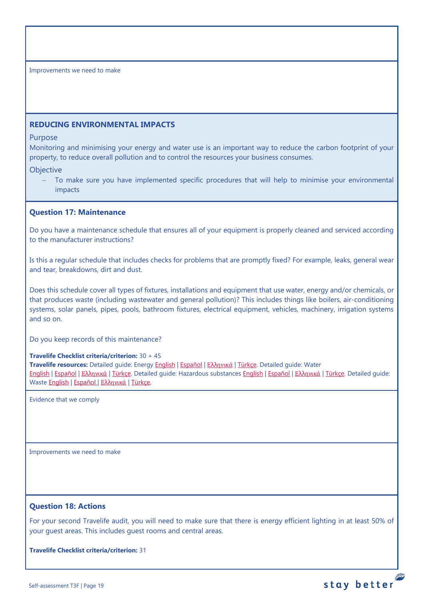## <span id="page-18-0"></span>**REDUCING ENVIRONMENTAL IMPACTS**

#### Purpose

Monitoring and minimising your energy and water use is an important way to reduce the carbon footprint of your property, to reduce overall pollution and to control the resources your business consumes.

## **Objective**

To make sure you have implemented specific procedures that will help to minimise your environmental impacts

## <span id="page-18-1"></span>**Question 17: Maintenance**

Do you have a maintenance schedule that ensures all of your equipment is properly cleaned and serviced according to the manufacturer instructions?

Is this a regular schedule that includes checks for problems that are promptly fixed? For example, leaks, general wear and tear, breakdowns, dirt and dust.

Does this schedule cover all types of fixtures, installations and equipment that use water, energy and/or chemicals, or that produces waste (including wastewater and general pollution)? This includes things like boilers, air-conditioning systems, solar panels, pipes, pools, bathroom fixtures, electrical equipment, vehicles, machinery, irrigation systems and so on.

Do you keep records of this maintenance?

#### **Travelife Checklist criteria/criterion:** 30 + 45

**Travelife resources:** Detailed guide: Energy [English](https://travelifestaybetter.com/wp-content/uploads/2019/02/17-Detailed-Guide-Energy.pdf) | [Español](https://travelifestaybetter.com/wp-content/uploads/2019/02/17-ES-Detailed-Guide-Energy.pdf) | Ελλ[ηνικά](https://travelifestaybetter.com/wp-content/uploads/2020/11/17-GR-Detailed-Guide-Energy.pdf) | [Türkçe.](https://travelifestaybetter.com/wp-content/uploads/2021/01/17-Detailed-Guide-Energy-TR-Enerji-Detayli-Kilavuz.pdf) Detailed guide: Water [English](https://travelifestaybetter.com/wp-content/uploads/2019/02/18-Detailed-Guide-Water.pdf) | [Español](https://travelifestaybetter.com/wp-content/uploads/2019/02/18-ES-Detailed-Guide-Water.pdf) | Ελλ[ηνικά](https://travelifestaybetter.com/wp-content/uploads/2020/11/18-GR-Detailed-Guide-Water.pdf) | [Türkçe.](https://travelifestaybetter.com/wp-content/uploads/2021/01/18-Detailed-Guide-Water-TR-Su-Detayli-Kilavuz.pdf) Detailed guide: Hazardous substances [English](https://travelifestaybetter.com/wp-content/uploads/2019/02/20-Detailed-Guide-Hazardous-Substances.pdf) | [Español](https://travelifestaybetter.com/wp-content/uploads/2019/02/20-ES-Detailed-Guide-Hazardous-Substances.pdf) | Ελλ[ηνικά](https://travelifestaybetter.com/wp-content/uploads/2021/01/20-GR-Detailed-Guide-Hazardous-Substances.pdf) | [Türkçe.](https://travelifestaybetter.com/wp-content/uploads/2021/01/20-Detailed-Guide-Hazardous-Substances-TR-Tehlikeli-Maddeler-Detayli-Kilavuz.pdf) Detailed guide: Waste [English](https://travelifestaybetter.com/wp-content/uploads/2019/02/19-Detailed-Guide-Waste.pdf) | [Español](https://travelifestaybetter.com/wp-content/uploads/2019/02/19-ES-Detailed-Guide-Waste.pdf) | Ελλ[ηνικά](https://travelifestaybetter.com/wp-content/uploads/2021/01/19-GR-Detailed-Guide-Waste.pdf) | [Türkçe.](https://travelifestaybetter.com/wp-content/uploads/2021/01/19-Detailed-Guide-Waste-TR-Atik-Detayli-Kilavuz.pdf)

Evidence that we comply

Improvements we need to make

# <span id="page-18-2"></span>**Question 18: Actions**

For your second Travelife audit, you will need to make sure that there is energy efficient lighting in at least 50% of your guest areas. This includes guest rooms and central areas.

stay better

**Travelife Checklist criteria/criterion:** 31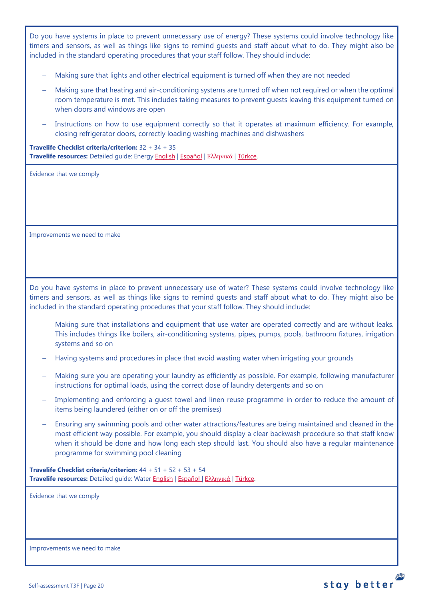Do you have systems in place to prevent unnecessary use of energy? These systems could involve technology like timers and sensors, as well as things like signs to remind guests and staff about what to do. They might also be included in the standard operating procedures that your staff follow. They should include:

- − Making sure that lights and other electrical equipment is turned off when they are not needed
- Making sure that heating and air-conditioning systems are turned off when not required or when the optimal room temperature is met. This includes taking measures to prevent guests leaving this equipment turned on when doors and windows are open
- Instructions on how to use equipment correctly so that it operates at maximum efficiency. For example, closing refrigerator doors, correctly loading washing machines and dishwashers

**Travelife Checklist criteria/criterion:** 32 + 34 + 35 **Travelife resources:** Detailed guide: Energy [English](https://travelifestaybetter.com/wp-content/uploads/2019/02/17-Detailed-Guide-Energy.pdf) | [Español](https://travelifestaybetter.com/wp-content/uploads/2019/02/17-ES-Detailed-Guide-Energy.pdf) | Ελλ[ηνικά](https://travelifestaybetter.com/wp-content/uploads/2020/11/17-GR-Detailed-Guide-Energy.pdf) | [Türkçe.](https://travelifestaybetter.com/wp-content/uploads/2021/01/17-Detailed-Guide-Energy-TR-Enerji-Detayli-Kilavuz.pdf)

Evidence that we comply

Improvements we need to make

Do you have systems in place to prevent unnecessary use of water? These systems could involve technology like timers and sensors, as well as things like signs to remind guests and staff about what to do. They might also be included in the standard operating procedures that your staff follow. They should include:

- Making sure that installations and equipment that use water are operated correctly and are without leaks. This includes things like boilers, air-conditioning systems, pipes, pumps, pools, bathroom fixtures, irrigation systems and so on
- − Having systems and procedures in place that avoid wasting water when irrigating your grounds
- − Making sure you are operating your laundry as efficiently as possible. For example, following manufacturer instructions for optimal loads, using the correct dose of laundry detergents and so on
- Implementing and enforcing a guest towel and linen reuse programme in order to reduce the amount of items being laundered (either on or off the premises)
- Ensuring any swimming pools and other water attractions/features are being maintained and cleaned in the most efficient way possible. For example, you should display a clear backwash procedure so that staff know when it should be done and how long each step should last. You should also have a regular maintenance programme for swimming pool cleaning

stay better

**Travelife Checklist criteria/criterion:** 44 + 51 + 52 + 53 + 54 **Travelife resources:** Detailed guide: Wate[r English](https://travelifestaybetter.com/wp-content/uploads/2019/02/18-Detailed-Guide-Water.pdf) | [Español](https://travelifestaybetter.com/wp-content/uploads/2019/02/18-ES-Detailed-Guide-Water.pdf) | Ελλ[ηνικά](https://travelifestaybetter.com/wp-content/uploads/2020/11/18-GR-Detailed-Guide-Water.pdf) | [Türkçe.](https://travelifestaybetter.com/wp-content/uploads/2021/01/18-Detailed-Guide-Water-TR-Su-Detayli-Kilavuz.pdf)

Evidence that we comply

Improvements we need to make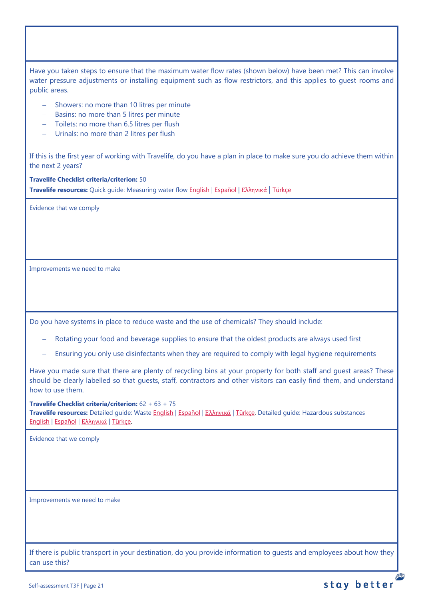Have you taken steps to ensure that the maximum water flow rates (shown below) have been met? This can involve water pressure adjustments or installing equipment such as flow restrictors, and this applies to guest rooms and public areas.

- − Showers: no more than 10 litres per minute
- − Basins: no more than 5 litres per minute
- − Toilets: no more than 6.5 litres per flush
- − Urinals: no more than 2 litres per flush

If this is the first year of working with Travelife, do you have a plan in place to make sure you do achieve them within the next 2 years?

**Travelife Checklist criteria/criterion:** 50 **Travelife resources:** Quick guide: Measuring water flow [English](https://travelifestaybetter.com/wp-content/uploads/2019/02/18-Quick-Guide-Measuring-Water-Flow.pdf) | [Español](https://travelifestaybetter.com/wp-content/uploads/2019/02/18-ES-Quick-Guide-Measuring-Water-Flow.pdf) | Ελλ[ηνικά](https://travelifestaybetter.com/wp-content/uploads/2020/01/16-Quick-Guide-Measuring-Water-Flow-GR.pdf) | [Türkçe](https://travelifestaybetter.com/wp-content/uploads/2020/10/18-Quick-Guide-Measuring-Water-Flow-TR-Su-Debisinin-Olculmesi-icin-Hizli-Kilavuz.pdf)

Evidence that we comply

Improvements we need to make

Do you have systems in place to reduce waste and the use of chemicals? They should include:

- Rotating your food and beverage supplies to ensure that the oldest products are always used first
- Ensuring you only use disinfectants when they are required to comply with legal hygiene requirements

Have you made sure that there are plenty of recycling bins at your property for both staff and guest areas? These should be clearly labelled so that guests, staff, contractors and other visitors can easily find them, and understand how to use them.

**Travelife Checklist criteria/criterion:** 62 + 63 + 75

**Travelife resources:** Detailed guide: Waste [English](https://travelifestaybetter.com/wp-content/uploads/2019/02/19-Detailed-Guide-Waste.pdf) | [Español](https://travelifestaybetter.com/wp-content/uploads/2019/02/19-ES-Detailed-Guide-Waste.pdf) | Ελλ[ηνικά](https://travelifestaybetter.com/wp-content/uploads/2021/01/19-GR-Detailed-Guide-Waste.pdf) | [Türkçe.](https://travelifestaybetter.com/wp-content/uploads/2021/01/19-Detailed-Guide-Waste-TR-Atik-Detayli-Kilavuz.pdf) Detailed guide: Hazardous substances [English](https://travelifestaybetter.com/wp-content/uploads/2019/02/20-Detailed-Guide-Hazardous-Substances.pdf) | [Español](https://travelifestaybetter.com/wp-content/uploads/2019/02/20-ES-Detailed-Guide-Hazardous-Substances.pdf) | Ελλ[ηνικά](https://travelifestaybetter.com/wp-content/uploads/2021/01/20-GR-Detailed-Guide-Hazardous-Substances.pdf) | [Türkçe.](https://travelifestaybetter.com/wp-content/uploads/2021/01/20-Detailed-Guide-Hazardous-Substances-TR-Tehlikeli-Maddeler-Detayli-Kilavuz.pdf)

Evidence that we comply

Improvements we need to make

If there is public transport in your destination, do you provide information to guests and employees about how they can use this?

**PERSONAL**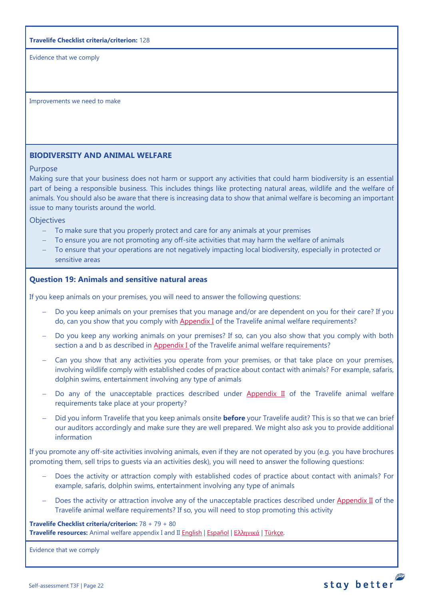### **Travelife Checklist criteria/criterion:** 128

Evidence that we comply

Improvements we need to make

# <span id="page-21-0"></span>**BIODIVERSITY AND ANIMAL WELFARE**

## Purpose

Making sure that your business does not harm or support any activities that could harm biodiversity is an essential part of being a responsible business. This includes things like protecting natural areas, wildlife and the welfare of animals. You should also be aware that there is increasing data to show that animal welfare is becoming an important issue to many tourists around the world.

**Objectives** 

- − To make sure that you properly protect and care for any animals at your premises
- To ensure you are not promoting any off-site activities that may harm the welfare of animals
- − To ensure that your operations are not negatively impacting local biodiversity, especially in protected or sensitive areas

# <span id="page-21-1"></span>**Question 19: Animals and sensitive natural areas**

If you keep animals on your premises, you will need to answer the following questions:

- Do you keep animals on your premises that you manage and/or are dependent on you for their care? If you do, can you show that you comply wit[h Appendix I](https://travelifestaybetter.com/travelife-standard-checklists/) of the Travelife animal welfare requirements?
- Do you keep any working animals on your premises? If so, can you also show that you comply with both section a and b as described in [Appendix I o](https://travelifestaybetter.com/travelife-standard-checklists/)f the Travelife animal welfare requirements?
- − Can you show that any activities you operate from your premises, or that take place on your premises, involving wildlife comply with established codes of practice about contact with animals? For example, safaris, dolphin swims, entertainment involving any type of animals
- Do any of the unacceptable practices described under [Appendix II](https://travelifestaybetter.com/travelife-standard-checklists/) of the Travelife animal welfare requirements take place at your property?
- − Did you inform Travelife that you keep animals onsite **before** your Travelife audit? This is so that we can brief our auditors accordingly and make sure they are well prepared. We might also ask you to provide additional information

If you promote any off-site activities involving animals, even if they are not operated by you (e.g. you have brochures promoting them, sell trips to guests via an activities desk), you will need to answer the following questions:

- Does the activity or attraction comply with established codes of practice about contact with animals? For example, safaris, dolphin swims, entertainment involving any type of animals
- Does the activity or attraction involve any of the unacceptable practices described under [Appendix II](https://travelifestaybetter.com/travelife-standard-checklists/) of the Travelife animal welfare requirements? If so, you will need to stop promoting this activity

**Travelife Checklist criteria/criterion:** 78 + 79 + 80 **Travelife resources:** Animal welfare appendix I and II [English](https://travelifestaybetter.com/wp-content/uploads/2020/12/Appendix-I-and-II-Animal-Welfare-Version-3.0-EN.pdf) | [Español](https://travelifestaybetter.com/wp-content/uploads/2020/12/Appendix-I-and-II-Animal-Welfare-Version-3.0-ES.pdf) | Ελλ[ηνικά](https://travelifestaybetter.com/wp-content/uploads/2020/12/GR-Appendix-I-and-II-Animal-Welfare-Version-3.0.pdf) | [Türkçe.](https://travelifestaybetter.com/wp-content/uploads/2020/12/Appendix-I-and-II-Animal-Welfare-Version-3.0-TR.pdf)

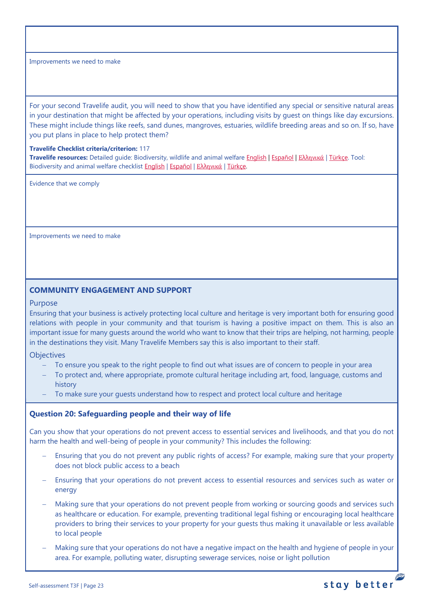For your second Travelife audit, you will need to show that you have identified any special or sensitive natural areas in your destination that might be affected by your operations, including visits by guest on things like day excursions. These might include things like reefs, sand dunes, mangroves, estuaries, wildlife breeding areas and so on. If so, have you put plans in place to help protect them?

### **Travelife Checklist criteria/criterion:** 117

**Travelife resources:** Detailed guide: Biodiversity, wildlife and animal welfare [English](https://travelifestaybetter.com/wp-content/uploads/2021/01/21-Detailed-Guided-Biodiversity-and-Animal-Welfare-V2.0.pdf) | [Español](https://travelifestaybetter.com/wp-content/uploads/2021/01/21-ES-Detailed-Guided-Biodiversity-and-Animal-Welfare-V2.0.pdf) | Ελλ[ηνικά](https://travelifestaybetter.com/wp-content/uploads/2021/01/21-GR-Detailed-Guided-Biodiversity-and-Animal-Welfare.pdf) | [Türkçe.](https://travelifestaybetter.com/wp-content/uploads/2021/01/21-Detailed-Guided-Biodiversity-and-Animal-Welfare-V2.0-TR-Biyocesitlilik-ve-Hayvan-Refahi-Detayli-Kilavuz.pdf) Tool: Biodiversity and animal welfare checklist **[English](https://travelifestaybetter.com/wp-content/uploads/2020/11/21-Biodiversity-and-Animal-Welfare-Checklist-V2.0.docx) | [Español](https://travelifestaybetter.com/wp-content/uploads/2020/11/21-ES-Biodiversity-and-Animal-Welfare-Checklist-V2.0.docx) | Ελλ[ηνικά](https://travelifestaybetter.com/wp-content/uploads/2021/01/21-GR-Biodiversity-and-Animal-Welfare-Checklist.docx) | Türkce.** 

Evidence that we comply

Improvements we need to make

## <span id="page-22-0"></span>**COMMUNITY ENGAGEMENT AND SUPPORT**

### Purpose

Ensuring that your business is actively protecting local culture and heritage is very important both for ensuring good relations with people in your community and that tourism is having a positive impact on them. This is also an important issue for many guests around the world who want to know that their trips are helping, not harming, people in the destinations they visit. Many Travelife Members say this is also important to their staff.

#### **Objectives**

- To ensure you speak to the right people to find out what issues are of concern to people in your area
- To protect and, where appropriate, promote cultural heritage including art, food, language, customs and history
- To make sure your quests understand how to respect and protect local culture and heritage

### <span id="page-22-1"></span>**Question 20: Safeguarding people and their way of life**

Can you show that your operations do not prevent access to essential services and livelihoods, and that you do not harm the health and well-being of people in your community? This includes the following:

- Ensuring that you do not prevent any public rights of access? For example, making sure that your property does not block public access to a beach
- Ensuring that your operations do not prevent access to essential resources and services such as water or energy
- Making sure that your operations do not prevent people from working or sourcing goods and services such as healthcare or education. For example, preventing traditional legal fishing or encouraging local healthcare providers to bring their services to your property for your guests thus making it unavailable or less available to local people
- − Making sure that your operations do not have a negative impact on the health and hygiene of people in your area. For example, polluting water, disrupting sewerage services, noise or light pollution

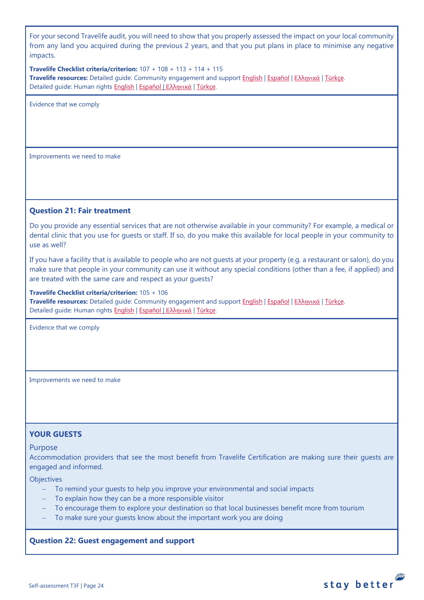For your second Travelife audit, you will need to show that you properly assessed the impact on your local community from any land you acquired during the previous 2 years, and that you put plans in place to minimise any negative impacts.

**Travelife Checklist criteria/criterion:** 107 + 108 + 113 + 114 + 115 **Travelife resources:** Detailed guide: Community engagement and suppor[t English](https://travelifestaybetter.com/wp-content/uploads/2019/02/7-Detailed-Guide-Community-Engagement.pdf) | [Español](https://travelifestaybetter.com/wp-content/uploads/2019/02/7-ES-Detailed-Guide-Community-Engagement.pdf) | Ελλ[ηνικά](https://travelifestaybetter.com/wp-content/uploads/2020/11/7-GR-Detailed-Guide-Community-Engagement.pdf) | [Türkçe.](https://travelifestaybetter.com/wp-content/uploads/2021/01/7-Detailed-Guide-Community-Engagement-TR-Toplum-Katilimi-ve-Destegi-Detayli-Kilavuz.pdf) Detailed guide: Human rights [English](https://travelifestaybetter.com/wp-content/uploads/2021/01/8-Detailed-Guide-Human-Rights.pdf) | [Español](https://travelifestaybetter.com/wp-content/uploads/2021/01/8-ES-Detailed-Guide-Human-Rights.pdf) | Ελλ[ηνικά](https://travelifestaybetter.com/wp-content/uploads/2021/01/8-GR-Detailed-Guide-Human-Rights.pdf) | [Türkçe.](https://travelifestaybetter.com/wp-content/uploads/2021/01/8-Detailed-Guide-Human-Rights-TR-Insan-Haklari-Detayli-Kilavuz.pdf)

Evidence that we comply

Improvements we need to make

## <span id="page-23-0"></span>**Question 21: Fair treatment**

Do you provide any essential services that are not otherwise available in your community? For example, a medical or dental clinic that you use for guests or staff. If so, do you make this available for local people in your community to use as well?

If you have a facility that is available to people who are not guests at your property (e.g. a restaurant or salon), do you make sure that people in your community can use it without any special conditions (other than a fee, if applied) and are treated with the same care and respect as your guests?

**Travelife Checklist criteria/criterion:** 105 + 106

**Travelife resources:** Detailed guide: Community engagement and suppor[t English](https://travelifestaybetter.com/wp-content/uploads/2019/02/7-Detailed-Guide-Community-Engagement.pdf) | [Español](https://travelifestaybetter.com/wp-content/uploads/2019/02/7-ES-Detailed-Guide-Community-Engagement.pdf) | Ελλ[ηνικά](https://travelifestaybetter.com/wp-content/uploads/2020/11/7-GR-Detailed-Guide-Community-Engagement.pdf) | [Türkçe.](https://travelifestaybetter.com/wp-content/uploads/2021/01/7-Detailed-Guide-Community-Engagement-TR-Toplum-Katilimi-ve-Destegi-Detayli-Kilavuz.pdf) Detailed quide: Human rights [English](https://travelifestaybetter.com/wp-content/uploads/2021/01/8-Detailed-Guide-Human-Rights.pdf) | [Español](https://travelifestaybetter.com/wp-content/uploads/2021/01/8-ES-Detailed-Guide-Human-Rights.pdf) | Ελλ[ηνικά](https://travelifestaybetter.com/wp-content/uploads/2021/01/8-GR-Detailed-Guide-Human-Rights.pdf) | [Türkçe.](https://travelifestaybetter.com/wp-content/uploads/2021/01/8-Detailed-Guide-Human-Rights-TR-Insan-Haklari-Detayli-Kilavuz.pdf)

Evidence that we comply

Improvements we need to make

## <span id="page-23-1"></span>**YOUR GUESTS**

## Purpose

Accommodation providers that see the most benefit from Travelife Certification are making sure their guests are engaged and informed.

**Objectives** 

- − To remind your guests to help you improve your environmental and social impacts
- − To explain how they can be a more responsible visitor
- To encourage them to explore your destination so that local businesses benefit more from tourism

stay better

To make sure your guests know about the important work you are doing

## <span id="page-23-2"></span>**Question 22: Guest engagement and support**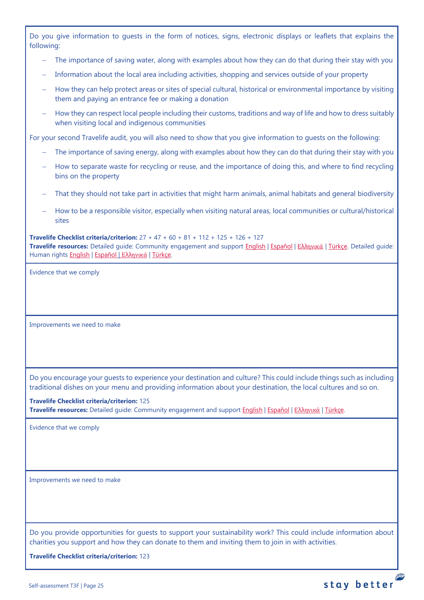Do you give information to guests in the form of notices, signs, electronic displays or leaflets that explains the following:

- The importance of saving water, along with examples about how they can do that during their stay with you
- Information about the local area including activities, shopping and services outside of your property
- How they can help protect areas or sites of special cultural, historical or environmental importance by visiting them and paying an entrance fee or making a donation
- − How they can respect local people including their customs, traditions and way of life and how to dress suitably when visiting local and indigenous communities

For your second Travelife audit, you will also need to show that you give information to guests on the following:

- The importance of saving energy, along with examples about how they can do that during their stay with you
- − How to separate waste for recycling or reuse, and the importance of doing this, and where to find recycling bins on the property
- That they should not take part in activities that might harm animals, animal habitats and general biodiversity
- − How to be a responsible visitor, especially when visiting natural areas, local communities or cultural/historical sites

**Travelife Checklist criteria/criterion:** 27 + 47 + 60 + 81 + 112 + 125 + 126 + 127 **Travelife resources:** Detailed guide: Community engagement and support [English](https://travelifestaybetter.com/wp-content/uploads/2019/02/7-Detailed-Guide-Community-Engagement.pdf) | [Español](https://travelifestaybetter.com/wp-content/uploads/2019/02/7-ES-Detailed-Guide-Community-Engagement.pdf) | Ελλ[ηνικά](https://travelifestaybetter.com/wp-content/uploads/2020/11/7-GR-Detailed-Guide-Community-Engagement.pdf) | [Türkçe.](https://travelifestaybetter.com/wp-content/uploads/2021/01/7-Detailed-Guide-Community-Engagement-TR-Toplum-Katilimi-ve-Destegi-Detayli-Kilavuz.pdf) Detailed guide: Human rights [English](https://travelifestaybetter.com/wp-content/uploads/2021/01/8-Detailed-Guide-Human-Rights.pdf) | [Español](https://travelifestaybetter.com/wp-content/uploads/2021/01/8-ES-Detailed-Guide-Human-Rights.pdf) | Ελλ[ηνικά](https://travelifestaybetter.com/wp-content/uploads/2021/01/8-GR-Detailed-Guide-Human-Rights.pdf) | [Türkçe.](https://travelifestaybetter.com/wp-content/uploads/2021/01/8-Detailed-Guide-Human-Rights-TR-Insan-Haklari-Detayli-Kilavuz.pdf)

Evidence that we comply

Improvements we need to make

Do you encourage your guests to experience your destination and culture? This could include things such as including traditional dishes on your menu and providing information about your destination, the local cultures and so on.

**Travelife Checklist criteria/criterion:** 125 **Travelife resources:** Detailed guide: Community engagement and suppor[t English](https://travelifestaybetter.com/wp-content/uploads/2019/02/7-Detailed-Guide-Community-Engagement.pdf) | [Español](https://travelifestaybetter.com/wp-content/uploads/2019/02/7-ES-Detailed-Guide-Community-Engagement.pdf) | Ελλ[ηνικά](https://travelifestaybetter.com/wp-content/uploads/2020/11/7-GR-Detailed-Guide-Community-Engagement.pdf) | [Türkçe.](https://travelifestaybetter.com/wp-content/uploads/2021/01/7-Detailed-Guide-Community-Engagement-TR-Toplum-Katilimi-ve-Destegi-Detayli-Kilavuz.pdf)

Evidence that we comply

Improvements we need to make

Do you provide opportunities for guests to support your sustainability work? This could include information about charities you support and how they can donate to them and inviting them to join in with activities.

**Travelife Checklist criteria/criterion:** 123

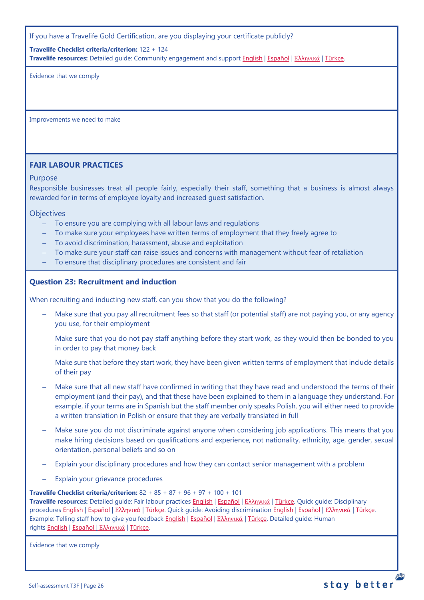If you have a Travelife Gold Certification, are you displaying your certificate publicly?

**Travelife Checklist criteria/criterion:** 122 + 124

**Travelife resources:** Detailed guide: Community engagement and suppor[t English](https://travelifestaybetter.com/wp-content/uploads/2019/02/7-Detailed-Guide-Community-Engagement.pdf) | [Español](https://travelifestaybetter.com/wp-content/uploads/2019/02/7-ES-Detailed-Guide-Community-Engagement.pdf) | Ελλ[ηνικά](https://travelifestaybetter.com/wp-content/uploads/2020/11/7-GR-Detailed-Guide-Community-Engagement.pdf) | [Türkçe.](https://travelifestaybetter.com/wp-content/uploads/2021/01/7-Detailed-Guide-Community-Engagement-TR-Toplum-Katilimi-ve-Destegi-Detayli-Kilavuz.pdf)

Evidence that we comply

Improvements we need to make

# <span id="page-25-0"></span>**FAIR LABOUR PRACTICES**

## Purpose

Responsible businesses treat all people fairly, especially their staff, something that a business is almost always rewarded for in terms of employee loyalty and increased guest satisfaction.

### **Objectives**

- To ensure you are complying with all labour laws and regulations
- To make sure your employees have written terms of employment that they freely agree to
- − To avoid discrimination, harassment, abuse and exploitation
- To make sure your staff can raise issues and concerns with management without fear of retaliation
- − To ensure that disciplinary procedures are consistent and fair

## <span id="page-25-1"></span>**Question 23: Recruitment and induction**

When recruiting and inducting new staff, can you show that you do the following?

- − Make sure that you pay all recruitment fees so that staff (or potential staff) are not paying you, or any agency you use, for their employment
- Make sure that you do not pay staff anything before they start work, as they would then be bonded to you in order to pay that money back
- Make sure that before they start work, they have been given written terms of employment that include details of their pay
- Make sure that all new staff have confirmed in writing that they have read and understood the terms of their employment (and their pay), and that these have been explained to them in a language they understand. For example, if your terms are in Spanish but the staff member only speaks Polish, you will either need to provide a written translation in Polish or ensure that they are verbally translated in full
- Make sure you do not discriminate against anyone when considering job applications. This means that you make hiring decisions based on qualifications and experience, not nationality, ethnicity, age, gender, sexual orientation, personal beliefs and so on
- Explain your disciplinary procedures and how they can contact senior management with a problem
- Explain your grievance procedures

### **Travelife Checklist criteria/criterion:** 82 + 85 + 87 + 96 + 97 + 100 + 101

**Travelife resources:** Detailed guide: Fair labour practices [English](https://travelifestaybetter.com/wp-content/uploads/2021/01/10-Detailed-Guide-Fair-Labour-Practices.pdf) | [Español](https://travelifestaybetter.com/wp-content/uploads/2021/01/10-ES-Detailed-Guide-Fair-Labour-Practices.pdf) | Ελλ[ηνικά](https://travelifestaybetter.com/wp-content/uploads/2021/01/10-GR-Detailed-Guide-Fair-Labour-Practices.pdf) | [Türkçe.](https://travelifestaybetter.com/wp-content/uploads/2021/01/10-Detailed-Guide-Fair-Labour-Practices-TR-Adil-Is-Gucu-Uygulamalari-Detayli-Kilavuz.pdf) Quick guide: Disciplinary procedures [English](https://travelifestaybetter.com/wp-content/uploads/2019/02/11-Quick-Guide-Disciplinary-Procedures.pdf) | [Español](https://travelifestaybetter.com/wp-content/uploads/2019/02/11-ES-Quick-Guide-Disciplinary-Procedures.pdf) | Ελλ[ηνικά](https://travelifestaybetter.com/wp-content/uploads/2020/07/36-Quick-Guide-Disciplinary-Procedures-GR.pdf) | [Türkçe.](https://travelifestaybetter.com/wp-content/uploads/2020/08/11-Quick-Guide-Disciplinary-Procedures-TR-11-Hizli-Kilavuz-Disiplin-Proseduru.pdf) Quick guide: Avoiding discrimination [English](https://travelifestaybetter.com/wp-content/uploads/2019/02/13-Quick-Guide-Avoiding-Workplace-Discrimination.pdf) | [Español](https://travelifestaybetter.com/wp-content/uploads/2019/02/13-ES-Quick-Guide-Avoiding-Workplace-Discrimination.pdf) | Ελλ[ηνικά](https://travelifestaybetter.com/wp-content/uploads/2020/07/38-Quick-Guide-Avoiding-Workplace-Discrimination-GR.pdf) | [Türkçe.](https://travelifestaybetter.com/wp-content/uploads/2020/10/13-Quick-Guide-Avoiding-Workplace-Discrimination-TR-Isyerinde-Ayrimciligi-Onlemek-icin-Hizli-Kilavuz.pdf) Example: Telling staff how to give you feedback [English](https://travelifestaybetter.com/wp-content/uploads/2019/02/6-Example-Feedback-Instructions-for-Staff.pdf) | [Español](https://travelifestaybetter.com/wp-content/uploads/2019/02/6-ES-Example-Feedback-Instructions-for-Staff.pdf) | Ελλ[ηνικά](https://travelifestaybetter.com/wp-content/uploads/2021/01/6-GR-Example-Feedback-Instructions-for-Staff.pdf) | [Türkçe.](https://travelifestaybetter.com/wp-content/uploads/2020/08/6-Example-Feedback-Instructions-for-Staff-TR-6-Ornek-Calisan-Geri-Bildirim-Talimati.pdf) Detailed guide: Human rights [English](https://travelifestaybetter.com/wp-content/uploads/2021/01/8-Detailed-Guide-Human-Rights.pdf) | [Español](https://travelifestaybetter.com/wp-content/uploads/2021/01/8-ES-Detailed-Guide-Human-Rights.pdf) | Ελλ[ηνικά](https://travelifestaybetter.com/wp-content/uploads/2021/01/8-GR-Detailed-Guide-Human-Rights.pdf) | [Türkçe.](https://travelifestaybetter.com/wp-content/uploads/2021/01/8-Detailed-Guide-Human-Rights-TR-Insan-Haklari-Detayli-Kilavuz.pdf)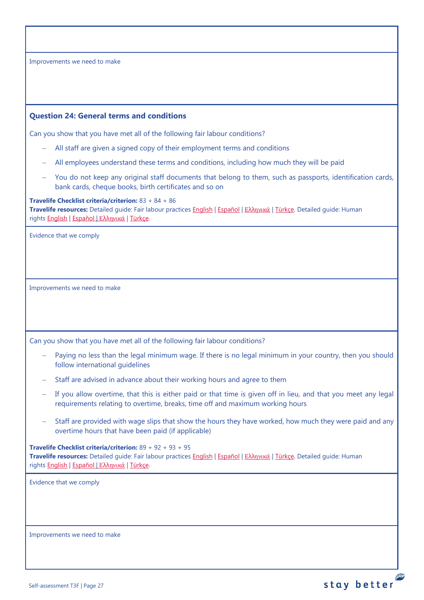## <span id="page-26-0"></span>**Question 24: General terms and conditions**

Can you show that you have met all of the following fair labour conditions?

- − All staff are given a signed copy of their employment terms and conditions
- − All employees understand these terms and conditions, including how much they will be paid
- − You do not keep any original staff documents that belong to them, such as passports, identification cards, bank cards, cheque books, birth certificates and so on

#### **Travelife Checklist criteria/criterion:** 83 + 84 + 86

**Travelife resources:** Detailed guide: Fair labour practices [English](https://travelifestaybetter.com/wp-content/uploads/2021/01/10-Detailed-Guide-Fair-Labour-Practices.pdf) | [Español](https://travelifestaybetter.com/wp-content/uploads/2021/01/10-ES-Detailed-Guide-Fair-Labour-Practices.pdf) | Ελλ[ηνικά](https://travelifestaybetter.com/wp-content/uploads/2021/01/10-GR-Detailed-Guide-Fair-Labour-Practices.pdf) | [Türkçe.](https://travelifestaybetter.com/wp-content/uploads/2021/01/10-Detailed-Guide-Fair-Labour-Practices-TR-Adil-Is-Gucu-Uygulamalari-Detayli-Kilavuz.pdf) Detailed guide: Human rights [English](https://travelifestaybetter.com/wp-content/uploads/2021/01/8-Detailed-Guide-Human-Rights.pdf) | [Español](https://travelifestaybetter.com/wp-content/uploads/2021/01/8-ES-Detailed-Guide-Human-Rights.pdf) | Ελλ[ηνικά](https://travelifestaybetter.com/wp-content/uploads/2021/01/8-GR-Detailed-Guide-Human-Rights.pdf) | [Türkçe.](https://travelifestaybetter.com/wp-content/uploads/2021/01/8-Detailed-Guide-Human-Rights-TR-Insan-Haklari-Detayli-Kilavuz.pdf)

Evidence that we comply

Improvements we need to make

Can you show that you have met all of the following fair labour conditions?

- Paying no less than the legal minimum wage. If there is no legal minimum in your country, then you should follow international guidelines
- − Staff are advised in advance about their working hours and agree to them
- − If you allow overtime, that this is either paid or that time is given off in lieu, and that you meet any legal requirements relating to overtime, breaks, time off and maximum working hours
- Staff are provided with wage slips that show the hours they have worked, how much they were paid and any overtime hours that have been paid (if applicable)

**Travelife Checklist criteria/criterion:** 89 + 92 + 93 + 95 **Travelife resources:** Detailed guide: Fair labour practices [English](https://travelifestaybetter.com/wp-content/uploads/2021/01/10-Detailed-Guide-Fair-Labour-Practices.pdf) | [Español](https://travelifestaybetter.com/wp-content/uploads/2021/01/10-ES-Detailed-Guide-Fair-Labour-Practices.pdf) | Ελλ[ηνικά](https://travelifestaybetter.com/wp-content/uploads/2021/01/10-GR-Detailed-Guide-Fair-Labour-Practices.pdf) | [Türkçe.](https://travelifestaybetter.com/wp-content/uploads/2021/01/10-Detailed-Guide-Fair-Labour-Practices-TR-Adil-Is-Gucu-Uygulamalari-Detayli-Kilavuz.pdf) Detailed guide: Human rights [English](https://travelifestaybetter.com/wp-content/uploads/2021/01/8-Detailed-Guide-Human-Rights.pdf) | [Español](https://travelifestaybetter.com/wp-content/uploads/2021/01/8-ES-Detailed-Guide-Human-Rights.pdf) | Ελλ[ηνικά](https://travelifestaybetter.com/wp-content/uploads/2021/01/8-GR-Detailed-Guide-Human-Rights.pdf) | [Türkçe.](https://travelifestaybetter.com/wp-content/uploads/2021/01/8-Detailed-Guide-Human-Rights-TR-Insan-Haklari-Detayli-Kilavuz.pdf)

Evidence that we comply

Improvements we need to make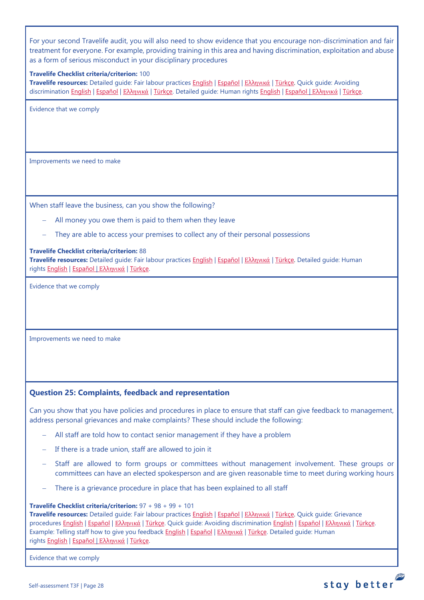For your second Travelife audit, you will also need to show evidence that you encourage non-discrimination and fair treatment for everyone. For example, providing training in this area and having discrimination, exploitation and abuse as a form of serious misconduct in your disciplinary procedures

### **Travelife Checklist criteria/criterion:** 100

**Travelife resources:** Detailed guide: Fair labour practices [English](https://travelifestaybetter.com/wp-content/uploads/2021/01/10-Detailed-Guide-Fair-Labour-Practices.pdf) | [Español](https://travelifestaybetter.com/wp-content/uploads/2021/01/10-ES-Detailed-Guide-Fair-Labour-Practices.pdf) | Ελλ[ηνικά](https://travelifestaybetter.com/wp-content/uploads/2021/01/10-GR-Detailed-Guide-Fair-Labour-Practices.pdf) | [Türkçe.](https://travelifestaybetter.com/wp-content/uploads/2021/01/10-Detailed-Guide-Fair-Labour-Practices-TR-Adil-Is-Gucu-Uygulamalari-Detayli-Kilavuz.pdf) Quick guide: Avoiding discrimination [English](https://travelifestaybetter.com/wp-content/uploads/2019/02/13-Quick-Guide-Avoiding-Workplace-Discrimination.pdf) | [Español](https://travelifestaybetter.com/wp-content/uploads/2019/02/13-ES-Quick-Guide-Avoiding-Workplace-Discrimination.pdf) | Ελλ[ηνικά](https://travelifestaybetter.com/wp-content/uploads/2020/07/38-Quick-Guide-Avoiding-Workplace-Discrimination-GR.pdf) | [Türkçe.](https://travelifestaybetter.com/wp-content/uploads/2020/10/13-Quick-Guide-Avoiding-Workplace-Discrimination-TR-Isyerinde-Ayrimciligi-Onlemek-icin-Hizli-Kilavuz.pdf) Detailed guide: Human rights [English](https://travelifestaybetter.com/wp-content/uploads/2021/01/8-Detailed-Guide-Human-Rights.pdf) | [Español](https://travelifestaybetter.com/wp-content/uploads/2021/01/8-ES-Detailed-Guide-Human-Rights.pdf) | Ελλ[ηνικά](https://travelifestaybetter.com/wp-content/uploads/2021/01/8-GR-Detailed-Guide-Human-Rights.pdf) | [Türkçe.](https://travelifestaybetter.com/wp-content/uploads/2021/01/8-Detailed-Guide-Human-Rights-TR-Insan-Haklari-Detayli-Kilavuz.pdf)

Evidence that we comply

Improvements we need to make

When staff leave the business, can you show the following?

- All money you owe them is paid to them when they leave
- They are able to access your premises to collect any of their personal possessions

#### **Travelife Checklist criteria/criterion:** 88

**Travelife resources:** Detailed guide: Fair labour practices [English](https://travelifestaybetter.com/wp-content/uploads/2021/01/10-Detailed-Guide-Fair-Labour-Practices.pdf) | [Español](https://travelifestaybetter.com/wp-content/uploads/2021/01/10-ES-Detailed-Guide-Fair-Labour-Practices.pdf) | Ελλ[ηνικά](https://travelifestaybetter.com/wp-content/uploads/2021/01/10-GR-Detailed-Guide-Fair-Labour-Practices.pdf) | [Türkçe.](https://travelifestaybetter.com/wp-content/uploads/2021/01/10-Detailed-Guide-Fair-Labour-Practices-TR-Adil-Is-Gucu-Uygulamalari-Detayli-Kilavuz.pdf) Detailed guide: Human rights [English](https://travelifestaybetter.com/wp-content/uploads/2021/01/8-Detailed-Guide-Human-Rights.pdf) | [Español](https://travelifestaybetter.com/wp-content/uploads/2021/01/8-ES-Detailed-Guide-Human-Rights.pdf) | Ελλ[ηνικά](https://travelifestaybetter.com/wp-content/uploads/2021/01/8-GR-Detailed-Guide-Human-Rights.pdf) | [Türkçe.](https://travelifestaybetter.com/wp-content/uploads/2021/01/8-Detailed-Guide-Human-Rights-TR-Insan-Haklari-Detayli-Kilavuz.pdf)

Evidence that we comply

Improvements we need to make

## <span id="page-27-0"></span>**Question 25: Complaints, feedback and representation**

Can you show that you have policies and procedures in place to ensure that staff can give feedback to management, address personal grievances and make complaints? These should include the following:

- − All staff are told how to contact senior management if they have a problem
- − If there is a trade union, staff are allowed to join it
- Staff are allowed to form groups or committees without management involvement. These groups or committees can have an elected spokesperson and are given reasonable time to meet during working hours
- There is a grievance procedure in place that has been explained to all staff

### **Travelife Checklist criteria/criterion:** 97 + 98 + 99 + 101

**Travelife resources:** Detailed guide: Fair labour practices [English](https://travelifestaybetter.com/wp-content/uploads/2021/01/10-Detailed-Guide-Fair-Labour-Practices.pdf) | [Español](https://travelifestaybetter.com/wp-content/uploads/2021/01/10-ES-Detailed-Guide-Fair-Labour-Practices.pdf) | Ελλ[ηνικά](https://travelifestaybetter.com/wp-content/uploads/2021/01/10-GR-Detailed-Guide-Fair-Labour-Practices.pdf) | [Türkçe.](https://travelifestaybetter.com/wp-content/uploads/2021/01/10-Detailed-Guide-Fair-Labour-Practices-TR-Adil-Is-Gucu-Uygulamalari-Detayli-Kilavuz.pdf) Quick guide: Grievance procedures [English](https://travelifestaybetter.com/wp-content/uploads/2019/02/13-Quick-Guide-Avoiding-Workplace-Discrimination.pdf) | Εspañol | Ελλ[ηνικά](https://travelifestaybetter.com/wp-content/uploads/2020/07/38-Quick-Guide-Avoiding-Workplace-Discrimination-GR.pdf) | [Türkçe.](https://travelifestaybetter.com/wp-content/uploads/2020/08/12-Quick-Guide-Grievance-Procedures-TR-12-Hizli-Kilavuz-Sikayet-Proseduru.pdf) Quick guide: Avoiding discrimination English | Εspañol | Ελληνικά | [Türkçe.](https://travelifestaybetter.com/wp-content/uploads/2020/10/13-Quick-Guide-Avoiding-Workplace-Discrimination-TR-Isyerinde-Ayrimciligi-Onlemek-icin-Hizli-Kilavuz.pdf) Example: Telling staff how to give you feedback [English](https://travelifestaybetter.com/wp-content/uploads/2019/02/6-Example-Feedback-Instructions-for-Staff.pdf) | [Español](https://travelifestaybetter.com/wp-content/uploads/2019/02/6-ES-Example-Feedback-Instructions-for-Staff.pdf) | Ελλ[ηνικά](https://travelifestaybetter.com/wp-content/uploads/2021/01/6-GR-Example-Feedback-Instructions-for-Staff.pdf) | [Türkçe.](https://travelifestaybetter.com/wp-content/uploads/2020/08/6-Example-Feedback-Instructions-for-Staff-TR-6-Ornek-Calisan-Geri-Bildirim-Talimati.pdf) Detailed guide: Human rights [English](https://travelifestaybetter.com/wp-content/uploads/2021/01/8-Detailed-Guide-Human-Rights.pdf) | [Español](https://travelifestaybetter.com/wp-content/uploads/2021/01/8-ES-Detailed-Guide-Human-Rights.pdf) | Ελλ[ηνικά](https://travelifestaybetter.com/wp-content/uploads/2021/01/8-GR-Detailed-Guide-Human-Rights.pdf) | [Türkçe.](https://travelifestaybetter.com/wp-content/uploads/2021/01/8-Detailed-Guide-Human-Rights-TR-Insan-Haklari-Detayli-Kilavuz.pdf)

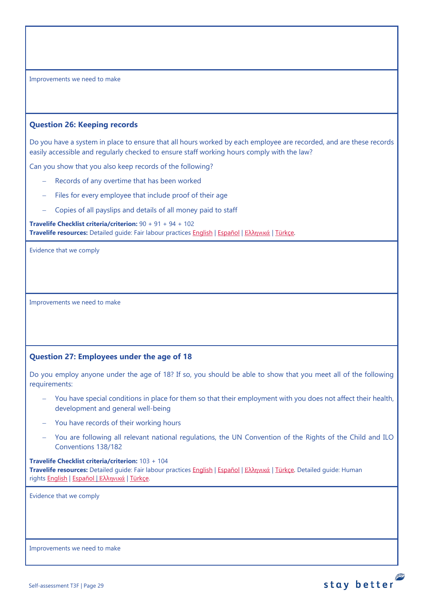## <span id="page-28-0"></span>**Question 26: Keeping records**

Do you have a system in place to ensure that all hours worked by each employee are recorded, and are these records easily accessible and regularly checked to ensure staff working hours comply with the law?

Can you show that you also keep records of the following?

- − Records of any overtime that has been worked
- Files for every employee that include proof of their age
- − Copies of all payslips and details of all money paid to staff

**Travelife Checklist criteria/criterion:** 90 + 91 + 94 + 102 **Travelife resources:** Detailed guide: Fair labour practices [English](https://travelifestaybetter.com/wp-content/uploads/2021/01/10-Detailed-Guide-Fair-Labour-Practices.pdf) | [Español](https://travelifestaybetter.com/wp-content/uploads/2021/01/10-ES-Detailed-Guide-Fair-Labour-Practices.pdf) | Ελλ[ηνικά](https://travelifestaybetter.com/wp-content/uploads/2021/01/10-GR-Detailed-Guide-Fair-Labour-Practices.pdf) | [Türkçe.](https://travelifestaybetter.com/wp-content/uploads/2021/01/10-Detailed-Guide-Fair-Labour-Practices-TR-Adil-Is-Gucu-Uygulamalari-Detayli-Kilavuz.pdf)

Evidence that we comply

Improvements we need to make

# <span id="page-28-1"></span>**Question 27: Employees under the age of 18**

Do you employ anyone under the age of 18? If so, you should be able to show that you meet all of the following requirements:

- You have special conditions in place for them so that their employment with you does not affect their health, development and general well-being
- − You have records of their working hours
- − You are following all relevant national regulations, the UN Convention of the Rights of the Child and ILO Conventions 138/182

stay better

# **Travelife Checklist criteria/criterion:** 103 + 104

**Travelife resources:** Detailed guide: Fair labour practices [English](https://travelifestaybetter.com/wp-content/uploads/2021/01/10-Detailed-Guide-Fair-Labour-Practices.pdf) | [Español](https://travelifestaybetter.com/wp-content/uploads/2021/01/10-ES-Detailed-Guide-Fair-Labour-Practices.pdf) | Ελλ[ηνικά](https://travelifestaybetter.com/wp-content/uploads/2021/01/10-GR-Detailed-Guide-Fair-Labour-Practices.pdf) | [Türkçe.](https://travelifestaybetter.com/wp-content/uploads/2021/01/10-Detailed-Guide-Fair-Labour-Practices-TR-Adil-Is-Gucu-Uygulamalari-Detayli-Kilavuz.pdf) Detailed guide: Human rights [English](https://travelifestaybetter.com/wp-content/uploads/2021/01/8-Detailed-Guide-Human-Rights.pdf) | [Español](https://travelifestaybetter.com/wp-content/uploads/2021/01/8-ES-Detailed-Guide-Human-Rights.pdf) | Ελλ[ηνικά](https://travelifestaybetter.com/wp-content/uploads/2021/01/8-GR-Detailed-Guide-Human-Rights.pdf) | [Türkçe.](https://travelifestaybetter.com/wp-content/uploads/2021/01/8-Detailed-Guide-Human-Rights-TR-Insan-Haklari-Detayli-Kilavuz.pdf)

Evidence that we comply

Improvements we need to make